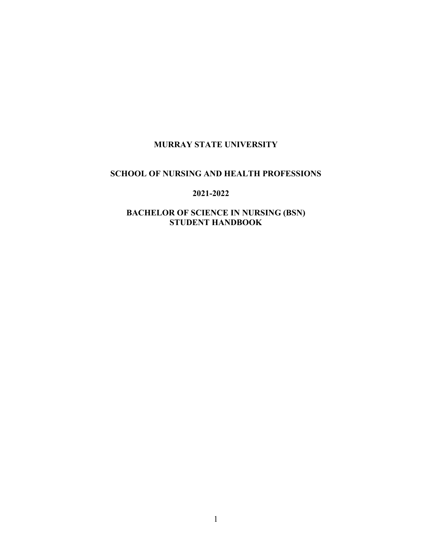# **MURRAY STATE UNIVERSITY**

## **SCHOOL OF NURSING AND HEALTH PROFESSIONS**

### **2021-2022**

## **BACHELOR OF SCIENCE IN NURSING (BSN) STUDENT HANDBOOK**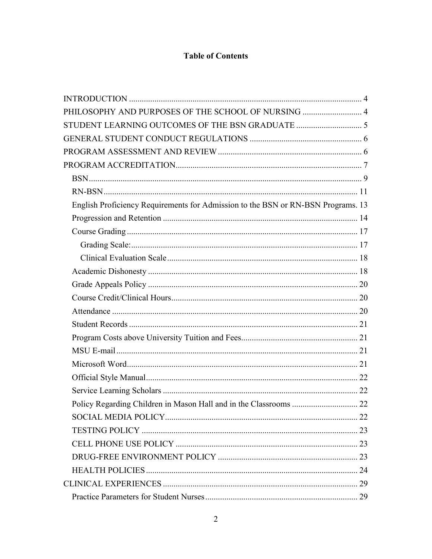# **Table of Contents**

| PHILOSOPHY AND PURPOSES OF THE SCHOOL OF NURSING  4                              |  |
|----------------------------------------------------------------------------------|--|
|                                                                                  |  |
|                                                                                  |  |
|                                                                                  |  |
|                                                                                  |  |
|                                                                                  |  |
|                                                                                  |  |
| English Proficiency Requirements for Admission to the BSN or RN-BSN Programs. 13 |  |
|                                                                                  |  |
|                                                                                  |  |
|                                                                                  |  |
|                                                                                  |  |
|                                                                                  |  |
|                                                                                  |  |
|                                                                                  |  |
|                                                                                  |  |
|                                                                                  |  |
|                                                                                  |  |
|                                                                                  |  |
|                                                                                  |  |
|                                                                                  |  |
|                                                                                  |  |
|                                                                                  |  |
|                                                                                  |  |
|                                                                                  |  |
|                                                                                  |  |
|                                                                                  |  |
|                                                                                  |  |
|                                                                                  |  |
|                                                                                  |  |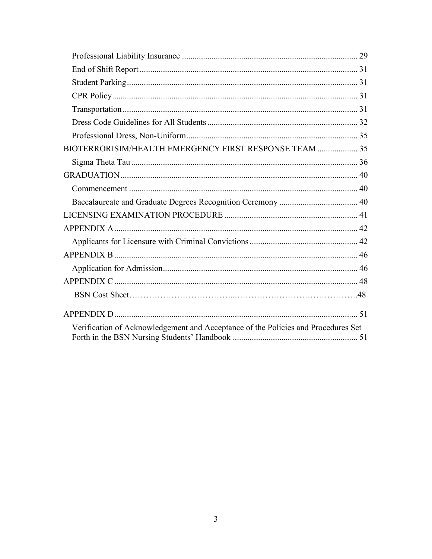| BIOTERRORISIM/HEALTH EMERGENCY FIRST RESPONSE TEAM  35                            |  |
|-----------------------------------------------------------------------------------|--|
|                                                                                   |  |
|                                                                                   |  |
|                                                                                   |  |
|                                                                                   |  |
|                                                                                   |  |
|                                                                                   |  |
|                                                                                   |  |
|                                                                                   |  |
|                                                                                   |  |
|                                                                                   |  |
|                                                                                   |  |
|                                                                                   |  |
| Verification of Acknowledgement and Acceptance of the Policies and Procedures Set |  |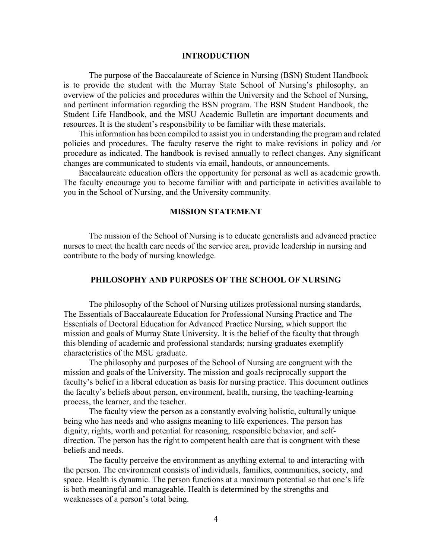#### **INTRODUCTION**

<span id="page-3-0"></span>The purpose of the Baccalaureate of Science in Nursing (BSN) Student Handbook is to provide the student with the Murray State School of Nursing's philosophy, an overview of the policies and procedures within the University and the School of Nursing, and pertinent information regarding the BSN program. The BSN Student Handbook, the Student Life Handbook, and the MSU Academic Bulletin are important documents and resources. It is the student's responsibility to be familiar with these materials.

This information has been compiled to assist you in understanding the program and related policies and procedures. The faculty reserve the right to make revisions in policy and /or procedure as indicated. The handbook is revised annually to reflect changes. Any significant changes are communicated to students via email, handouts, or announcements.

Baccalaureate education offers the opportunity for personal as well as academic growth. The faculty encourage you to become familiar with and participate in activities available to you in the School of Nursing, and the University community.

### **MISSION STATEMENT**

The mission of the School of Nursing is to educate generalists and advanced practice nurses to meet the health care needs of the service area, provide leadership in nursing and contribute to the body of nursing knowledge.

### **PHILOSOPHY AND PURPOSES OF THE SCHOOL OF NURSING**

<span id="page-3-1"></span>The philosophy of the School of Nursing utilizes professional nursing standards, The Essentials of Baccalaureate Education for Professional Nursing Practice and The Essentials of Doctoral Education for Advanced Practice Nursing, which support the mission and goals of Murray State University. It is the belief of the faculty that through this blending of academic and professional standards; nursing graduates exemplify characteristics of the MSU graduate.

The philosophy and purposes of the School of Nursing are congruent with the mission and goals of the University. The mission and goals reciprocally support the faculty's belief in a liberal education as basis for nursing practice. This document outlines the faculty's beliefs about person, environment, health, nursing, the teaching-learning process, the learner, and the teacher.

The faculty view the person as a constantly evolving holistic, culturally unique being who has needs and who assigns meaning to life experiences. The person has dignity, rights, worth and potential for reasoning, responsible behavior, and selfdirection. The person has the right to competent health care that is congruent with these beliefs and needs.

The faculty perceive the environment as anything external to and interacting with the person. The environment consists of individuals, families, communities, society, and space. Health is dynamic. The person functions at a maximum potential so that one's life is both meaningful and manageable. Health is determined by the strengths and weaknesses of a person's total being.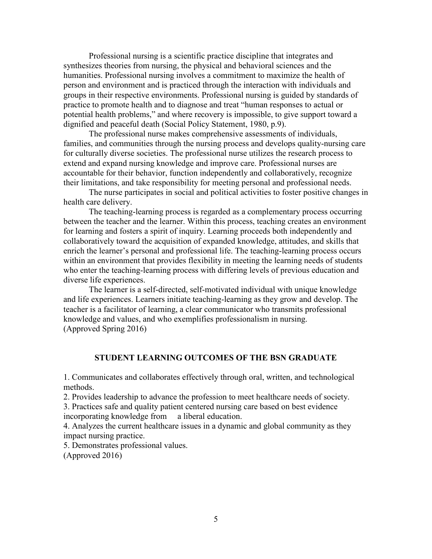Professional nursing is a scientific practice discipline that integrates and synthesizes theories from nursing, the physical and behavioral sciences and the humanities. Professional nursing involves a commitment to maximize the health of person and environment and is practiced through the interaction with individuals and groups in their respective environments. Professional nursing is guided by standards of practice to promote health and to diagnose and treat "human responses to actual or potential health problems," and where recovery is impossible, to give support toward a dignified and peaceful death (Social Policy Statement, 1980, p.9).

The professional nurse makes comprehensive assessments of individuals, families, and communities through the nursing process and develops quality-nursing care for culturally diverse societies. The professional nurse utilizes the research process to extend and expand nursing knowledge and improve care. Professional nurses are accountable for their behavior, function independently and collaboratively, recognize their limitations, and take responsibility for meeting personal and professional needs.

The nurse participates in social and political activities to foster positive changes in health care delivery.

The teaching-learning process is regarded as a complementary process occurring between the teacher and the learner. Within this process, teaching creates an environment for learning and fosters a spirit of inquiry. Learning proceeds both independently and collaboratively toward the acquisition of expanded knowledge, attitudes, and skills that enrich the learner's personal and professional life. The teaching-learning process occurs within an environment that provides flexibility in meeting the learning needs of students who enter the teaching-learning process with differing levels of previous education and diverse life experiences.

The learner is a self-directed, self-motivated individual with unique knowledge and life experiences. Learners initiate teaching-learning as they grow and develop. The teacher is a facilitator of learning, a clear communicator who transmits professional knowledge and values, and who exemplifies professionalism in nursing. (Approved Spring 2016)

### **STUDENT LEARNING OUTCOMES OF THE BSN GRADUATE**

<span id="page-4-0"></span>1. Communicates and collaborates effectively through oral, written, and technological methods.

2. Provides leadership to advance the profession to meet healthcare needs of society.

3. Practices safe and quality patient centered nursing care based on best evidence incorporating knowledge from a liberal education.

4. Analyzes the current healthcare issues in a dynamic and global community as they impact nursing practice.

5. Demonstrates professional values.

(Approved 2016)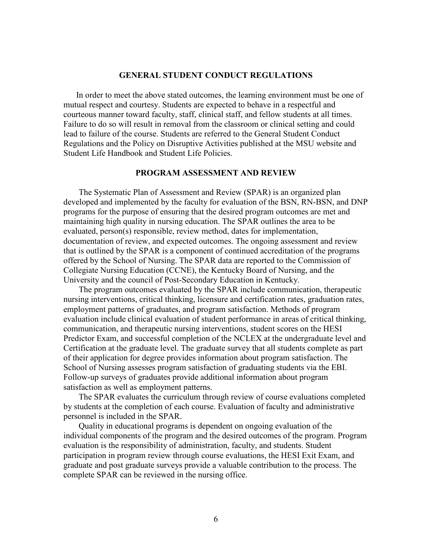### **GENERAL STUDENT CONDUCT REGULATIONS**

<span id="page-5-0"></span>In order to meet the above stated outcomes, the learning environment must be one of mutual respect and courtesy. Students are expected to behave in a respectful and courteous manner toward faculty, staff, clinical staff, and fellow students at all times. Failure to do so will result in removal from the classroom or clinical setting and could lead to failure of the course. Students are referred to the General Student Conduct Regulations and the Policy on Disruptive Activities published at the MSU website and Student Life Handbook and Student Life Policies.

### **PROGRAM ASSESSMENT AND REVIEW**

<span id="page-5-1"></span>The Systematic Plan of Assessment and Review (SPAR) is an organized plan developed and implemented by the faculty for evaluation of the BSN, RN-BSN, and DNP programs for the purpose of ensuring that the desired program outcomes are met and maintaining high quality in nursing education. The SPAR outlines the area to be evaluated, person(s) responsible, review method, dates for implementation, documentation of review, and expected outcomes. The ongoing assessment and review that is outlined by the SPAR is a component of continued accreditation of the programs offered by the School of Nursing. The SPAR data are reported to the Commission of Collegiate Nursing Education (CCNE), the Kentucky Board of Nursing, and the University and the council of Post-Secondary Education in Kentucky.

The program outcomes evaluated by the SPAR include communication, therapeutic nursing interventions, critical thinking, licensure and certification rates, graduation rates, employment patterns of graduates, and program satisfaction. Methods of program evaluation include clinical evaluation of student performance in areas of critical thinking, communication, and therapeutic nursing interventions, student scores on the HESI Predictor Exam, and successful completion of the NCLEX at the undergraduate level and Certification at the graduate level. The graduate survey that all students complete as part of their application for degree provides information about program satisfaction. The School of Nursing assesses program satisfaction of graduating students via the EBI. Follow-up surveys of graduates provide additional information about program satisfaction as well as employment patterns.

The SPAR evaluates the curriculum through review of course evaluations completed by students at the completion of each course. Evaluation of faculty and administrative personnel is included in the SPAR.

Quality in educational programs is dependent on ongoing evaluation of the individual components of the program and the desired outcomes of the program. Program evaluation is the responsibility of administration, faculty, and students. Student participation in program review through course evaluations, the HESI Exit Exam, and graduate and post graduate surveys provide a valuable contribution to the process. The complete SPAR can be reviewed in the nursing office.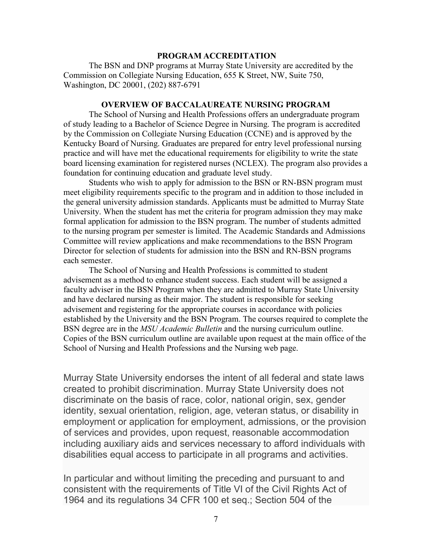### <span id="page-6-0"></span>**PROGRAM ACCREDITATION**

The BSN and DNP programs at Murray State University are accredited by the Commission on Collegiate Nursing Education, 655 K Street, NW, Suite 750, Washington, DC 20001, (202) 887-6791

## **OVERVIEW OF BACCALAUREATE NURSING PROGRAM**

The School of Nursing and Health Professions offers an undergraduate program of study leading to a Bachelor of Science Degree in Nursing. The program is accredited by the Commission on Collegiate Nursing Education (CCNE) and is approved by the Kentucky Board of Nursing. Graduates are prepared for entry level professional nursing practice and will have met the educational requirements for eligibility to write the state board licensing examination for registered nurses (NCLEX). The program also provides a foundation for continuing education and graduate level study.

Students who wish to apply for admission to the BSN or RN-BSN program must meet eligibility requirements specific to the program and in addition to those included in the general university admission standards. Applicants must be admitted to Murray State University. When the student has met the criteria for program admission they may make formal application for admission to the BSN program. The number of students admitted to the nursing program per semester is limited. The Academic Standards and Admissions Committee will review applications and make recommendations to the BSN Program Director for selection of students for admission into the BSN and RN-BSN programs each semester.

The School of Nursing and Health Professions is committed to student advisement as a method to enhance student success. Each student will be assigned a faculty adviser in the BSN Program when they are admitted to Murray State University and have declared nursing as their major. The student is responsible for seeking advisement and registering for the appropriate courses in accordance with policies established by the University and the BSN Program. The courses required to complete the BSN degree are in the *MSU Academic Bulletin* and the nursing curriculum outline. Copies of the BSN curriculum outline are available upon request at the main office of the School of Nursing and Health Professions and the Nursing web page.

Murray State University endorses the intent of all federal and state laws created to prohibit discrimination. Murray State University does not discriminate on the basis of race, color, national origin, sex, gender identity, sexual orientation, religion, age, veteran status, or disability in employment or application for employment, admissions, or the provision of services and provides, upon request, reasonable accommodation including auxiliary aids and services necessary to afford individuals with disabilities equal access to participate in all programs and activities.

In particular and without limiting the preceding and pursuant to and consistent with the requirements of Title VI of the Civil Rights Act of 1964 and its regulations 34 CFR 100 et seq.; Section 504 of the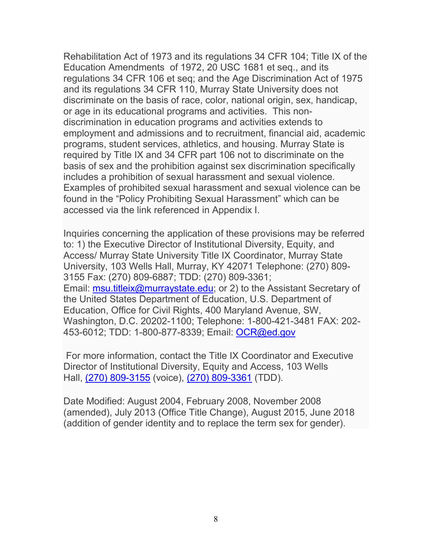Rehabilitation Act of 1973 and its regulations 34 CFR 104; Title IX of the Education Amendments of 1972, 20 USC 1681 et seq., and its regulations 34 CFR 106 et seq; and the Age Discrimination Act of 1975 and its regulations 34 CFR 110, Murray State University does not discriminate on the basis of race, color, national origin, sex, handicap, or age in its educational programs and activities. This nondiscrimination in education programs and activities extends to employment and admissions and to recruitment, financial aid, academic programs, student services, athletics, and housing. Murray State is required by Title IX and 34 CFR part 106 not to discriminate on the basis of sex and the prohibition against sex discrimination specifically includes a prohibition of sexual harassment and sexual violence. Examples of prohibited sexual harassment and sexual violence can be found in the "Policy Prohibiting Sexual Harassment" which can be accessed via the link referenced in Appendix I.

Inquiries concerning the application of these provisions may be referred to: 1) the Executive Director of Institutional Diversity, Equity, and Access/ Murray State University Title IX Coordinator, Murray State University, 103 Wells Hall, Murray, KY 42071 Telephone: (270) 809- 3155 Fax: (270) 809-6887; TDD: (270) 809-3361; Email: [msu.titleix@murraystate.edu;](mailto:msu.titleix@murraystate.edu) or 2) to the Assistant Secretary of the United States Department of Education, U.S. Department of Education, Office for Civil Rights, 400 Maryland Avenue, SW, Washington, D.C. 20202-1100; Telephone: 1-800-421-3481 FAX: 202- 453-6012; TDD: 1-800-877-8339; Email: [OCR@ed.gov](mailto:OCR@ed.gov)

For more information, contact the Title IX Coordinator and Executive Director of Institutional Diversity, Equity and Access, 103 Wells Hall, [\(270\) 809-3155](tel:12708093155) (voice), [\(270\) 809-3361](tel:+12708093361) (TDD).

Date Modified: August 2004, February 2008, November 2008 (amended), July 2013 (Office Title Change), August 2015, June 2018 (addition of gender identity and to replace the term sex for gender).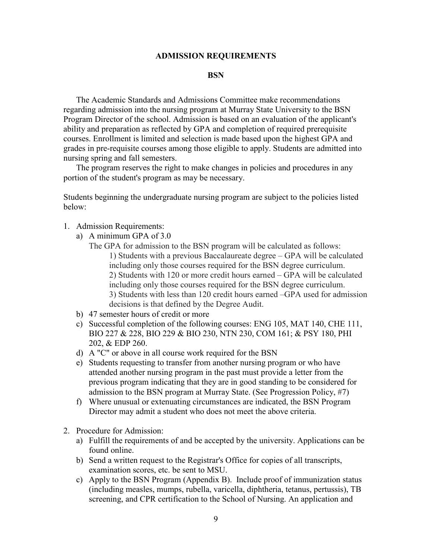#### **ADMISSION REQUIREMENTS**

#### **BSN**

<span id="page-8-0"></span>The Academic Standards and Admissions Committee make recommendations regarding admission into the nursing program at Murray State University to the BSN Program Director of the school. Admission is based on an evaluation of the applicant's ability and preparation as reflected by GPA and completion of required prerequisite courses. Enrollment is limited and selection is made based upon the highest GPA and grades in pre-requisite courses among those eligible to apply. Students are admitted into nursing spring and fall semesters.

The program reserves the right to make changes in policies and procedures in any portion of the student's program as may be necessary.

Students beginning the undergraduate nursing program are subject to the policies listed below:

- 1. Admission Requirements:
	- a) A minimum GPA of 3.0
		- The GPA for admission to the BSN program will be calculated as follows: 1) Students with a previous Baccalaureate degree – GPA will be calculated including only those courses required for the BSN degree curriculum. 2) Students with 120 or more credit hours earned – GPA will be calculated including only those courses required for the BSN degree curriculum. 3) Students with less than 120 credit hours earned –GPA used for admission decisions is that defined by the Degree Audit.
	- b) 47 semester hours of credit or more
	- c) Successful completion of the following courses: ENG 105, MAT 140, CHE 111, BIO 227 & 228, BIO 229 & BIO 230, NTN 230, COM 161; & PSY 180, PHI 202, & EDP 260.
	- d) A "C" or above in all course work required for the BSN
	- e) Students requesting to transfer from another nursing program or who have attended another nursing program in the past must provide a letter from the previous program indicating that they are in good standing to be considered for admission to the BSN program at Murray State. (See Progression Policy, #7)
	- f) Where unusual or extenuating circumstances are indicated, the BSN Program Director may admit a student who does not meet the above criteria.
- 2. Procedure for Admission:
	- a) Fulfill the requirements of and be accepted by the university. Applications can be found online.
	- b) Send a written request to the Registrar's Office for copies of all transcripts, examination scores, etc. be sent to MSU.
	- c) Apply to the BSN Program (Appendix B). Include proof of immunization status (including measles, mumps, rubella, varicella, diphtheria, tetanus, pertussis), TB screening, and CPR certification to the School of Nursing. An application and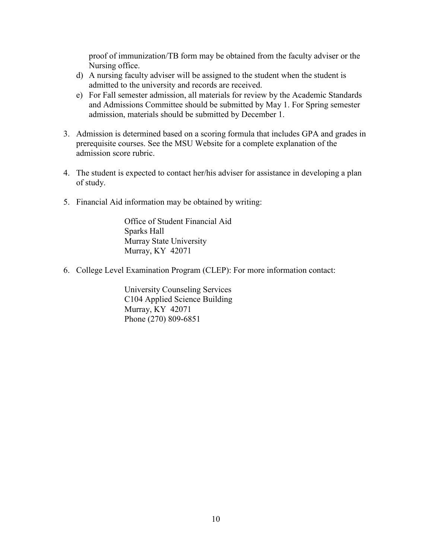proof of immunization/TB form may be obtained from the faculty adviser or the Nursing office.

- d) A nursing faculty adviser will be assigned to the student when the student is admitted to the university and records are received.
- e) For Fall semester admission, all materials for review by the Academic Standards and Admissions Committee should be submitted by May 1. For Spring semester admission, materials should be submitted by December 1.
- 3. Admission is determined based on a scoring formula that includes GPA and grades in prerequisite courses. See the MSU Website for a complete explanation of the admission score rubric.
- 4. The student is expected to contact her/his adviser for assistance in developing a plan of study.
- 5. Financial Aid information may be obtained by writing:

Office of Student Financial Aid Sparks Hall Murray State University Murray, KY 42071

6. College Level Examination Program (CLEP): For more information contact:

University Counseling Services C104 Applied Science Building Murray, KY 42071 Phone (270) 809-6851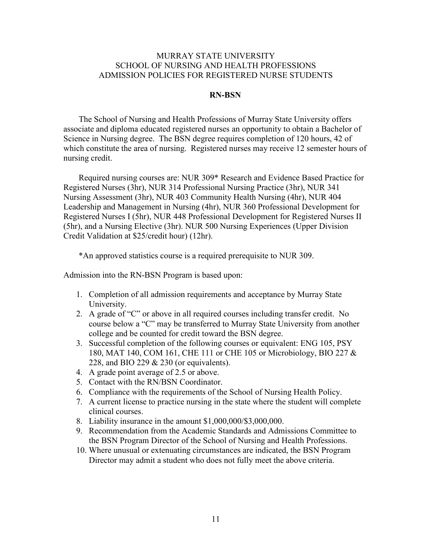## MURRAY STATE UNIVERSITY SCHOOL OF NURSING AND HEALTH PROFESSIONS ADMISSION POLICIES FOR REGISTERED NURSE STUDENTS

### <span id="page-10-0"></span> **RN-BSN**

The School of Nursing and Health Professions of Murray State University offers associate and diploma educated registered nurses an opportunity to obtain a Bachelor of Science in Nursing degree. The BSN degree requires completion of 120 hours, 42 of which constitute the area of nursing. Registered nurses may receive 12 semester hours of nursing credit.

Required nursing courses are: NUR 309\* Research and Evidence Based Practice for Registered Nurses (3hr), NUR 314 Professional Nursing Practice (3hr), NUR 341 Nursing Assessment (3hr), NUR 403 Community Health Nursing (4hr), NUR 404 Leadership and Management in Nursing (4hr), NUR 360 Professional Development for Registered Nurses I (5hr), NUR 448 Professional Development for Registered Nurses II (5hr), and a Nursing Elective (3hr). NUR 500 Nursing Experiences (Upper Division Credit Validation at \$25/credit hour) (12hr).

\*An approved statistics course is a required prerequisite to NUR 309.

Admission into the RN-BSN Program is based upon:

- 1. Completion of all admission requirements and acceptance by Murray State University.
- 2. A grade of "C" or above in all required courses including transfer credit. No course below a "C" may be transferred to Murray State University from another college and be counted for credit toward the BSN degree.
- 3. Successful completion of the following courses or equivalent: ENG 105, PSY 180, MAT 140, COM 161, CHE 111 or CHE 105 or Microbiology, BIO 227 & 228, and BIO 229 & 230 (or equivalents).
- 4. A grade point average of 2.5 or above.
- 5. Contact with the RN/BSN Coordinator.
- 6. Compliance with the requirements of the School of Nursing Health Policy.
- 7. A current license to practice nursing in the state where the student will complete clinical courses.
- 8. Liability insurance in the amount \$1,000,000/\$3,000,000.
- 9. Recommendation from the Academic Standards and Admissions Committee to the BSN Program Director of the School of Nursing and Health Professions.
- 10. Where unusual or extenuating circumstances are indicated, the BSN Program Director may admit a student who does not fully meet the above criteria.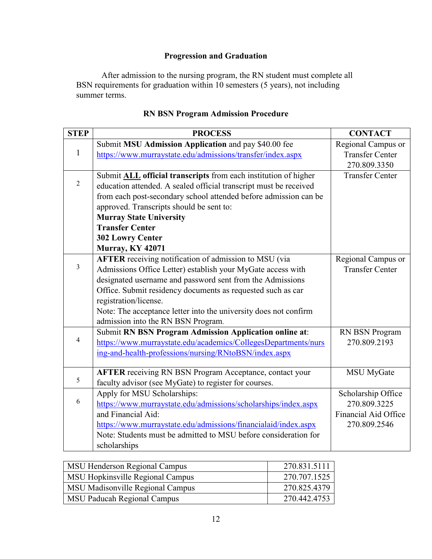# **Progression and Graduation**

After admission to the nursing program, the RN student must complete all BSN requirements for graduation within 10 semesters (5 years), not including summer terms.

| <b>STEP</b>    | <b>PROCESS</b>                                                         | <b>CONTACT</b>         |
|----------------|------------------------------------------------------------------------|------------------------|
|                | Submit MSU Admission Application and pay \$40.00 fee                   | Regional Campus or     |
| $\mathbf{1}$   | https://www.murraystate.edu/admissions/transfer/index.aspx             | <b>Transfer Center</b> |
|                |                                                                        | 270.809.3350           |
|                | Submit <b>ALL</b> official transcripts from each institution of higher | <b>Transfer Center</b> |
| $\overline{2}$ | education attended. A sealed official transcript must be received      |                        |
|                | from each post-secondary school attended before admission can be       |                        |
|                | approved. Transcripts should be sent to:                               |                        |
|                | <b>Murray State University</b>                                         |                        |
|                | <b>Transfer Center</b>                                                 |                        |
|                | <b>302 Lowry Center</b>                                                |                        |
|                | <b>Murray, KY 42071</b>                                                |                        |
|                | AFTER receiving notification of admission to MSU (via                  | Regional Campus or     |
| 3              | Admissions Office Letter) establish your MyGate access with            | <b>Transfer Center</b> |
|                | designated username and password sent from the Admissions              |                        |
|                | Office. Submit residency documents as requested such as car            |                        |
|                | registration/license.                                                  |                        |
|                | Note: The acceptance letter into the university does not confirm       |                        |
|                | admission into the RN BSN Program.                                     |                        |
|                | <b>Submit RN BSN Program Admission Application online at:</b>          | RN BSN Program         |
| $\overline{4}$ | https://www.murraystate.edu/academics/CollegesDepartments/nurs         | 270.809.2193           |
|                | ing-and-health-professions/nursing/RNtoBSN/index.aspx                  |                        |
|                |                                                                        |                        |
| 5              | <b>AFTER</b> receiving RN BSN Program Acceptance, contact your         | <b>MSU</b> MyGate      |
|                | faculty advisor (see MyGate) to register for courses.                  |                        |
| 6              | Apply for MSU Scholarships:                                            | Scholarship Office     |
|                | https://www.murraystate.edu/admissions/scholarships/index.aspx         | 270.809.3225           |
|                | and Financial Aid:                                                     | Financial Aid Office   |
|                | https://www.murraystate.edu/admissions/financialaid/index.aspx         | 270.809.2546           |
|                | Note: Students must be admitted to MSU before consideration for        |                        |
|                | scholarships                                                           |                        |

# **RN BSN Program Admission Procedure**

| MSU Henderson Regional Campus      | 270.831.5111 |
|------------------------------------|--------------|
| MSU Hopkinsville Regional Campus   | 270.707.1525 |
| MSU Madisonville Regional Campus   | 270.825.4379 |
| <b>MSU Paducah Regional Campus</b> | 270.442.4753 |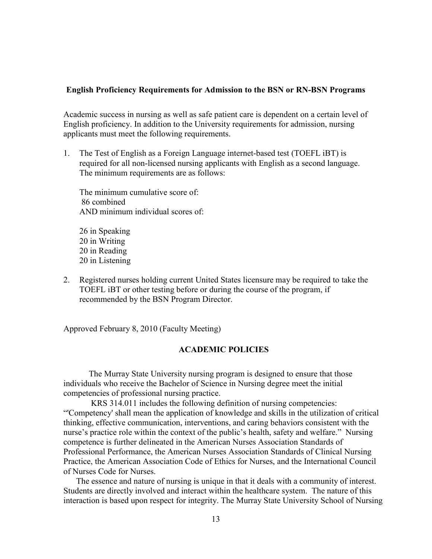### <span id="page-12-0"></span>**English Proficiency Requirements for Admission to the BSN or RN-BSN Programs**

Academic success in nursing as well as safe patient care is dependent on a certain level of English proficiency. In addition to the University requirements for admission, nursing applicants must meet the following requirements.

1. The Test of English as a Foreign Language internet-based test (TOEFL iBT) is required for all non-licensed nursing applicants with English as a second language. The minimum requirements are as follows:

The minimum cumulative score of: 86 combined AND minimum individual scores of:

26 in Speaking 20 in Writing 20 in Reading 20 in Listening

2. Registered nurses holding current United States licensure may be required to take the TOEFL iBT or other testing before or during the course of the program, if recommended by the BSN Program Director.

Approved February 8, 2010 (Faculty Meeting)

## **ACADEMIC POLICIES**

The Murray State University nursing program is designed to ensure that those individuals who receive the Bachelor of Science in Nursing degree meet the initial competencies of professional nursing practice.

KRS 314.011 includes the following definition of nursing competencies: "'Competency' shall mean the application of knowledge and skills in the utilization of critical thinking, effective communication, interventions, and caring behaviors consistent with the nurse's practice role within the context of the public's health, safety and welfare." Nursing competence is further delineated in the American Nurses Association Standards of Professional Performance, the American Nurses Association Standards of Clinical Nursing Practice, the American Association Code of Ethics for Nurses, and the International Council of Nurses Code for Nurses.

The essence and nature of nursing is unique in that it deals with a community of interest. Students are directly involved and interact within the healthcare system. The nature of this interaction is based upon respect for integrity. The Murray State University School of Nursing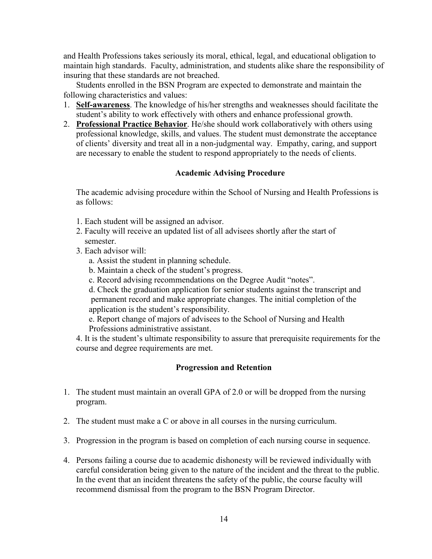and Health Professions takes seriously its moral, ethical, legal, and educational obligation to maintain high standards. Faculty, administration, and students alike share the responsibility of insuring that these standards are not breached.

Students enrolled in the BSN Program are expected to demonstrate and maintain the following characteristics and values:

- 1. **Self-awareness**. The knowledge of his/her strengths and weaknesses should facilitate the student's ability to work effectively with others and enhance professional growth.
- 2. **Professional Practice Behavior**. He/she should work collaboratively with others using professional knowledge, skills, and values. The student must demonstrate the acceptance of clients' diversity and treat all in a non-judgmental way. Empathy, caring, and support are necessary to enable the student to respond appropriately to the needs of clients.

### **Academic Advising Procedure**

The academic advising procedure within the School of Nursing and Health Professions is as follows:

- 1. Each student will be assigned an advisor.
- 2. Faculty will receive an updated list of all advisees shortly after the start of semester.
- 3. Each advisor will:
	- a. Assist the student in planning schedule.
	- b. Maintain a check of the student's progress.
	- c. Record advising recommendations on the Degree Audit "notes".

d. Check the graduation application for senior students against the transcript and permanent record and make appropriate changes. The initial completion of the application is the student's responsibility.

e. Report change of majors of advisees to the School of Nursing and Health Professions administrative assistant.

4. It is the student's ultimate responsibility to assure that prerequisite requirements for the course and degree requirements are met.

## **Progression and Retention**

- <span id="page-13-0"></span>1. The student must maintain an overall GPA of 2.0 or will be dropped from the nursing program.
- 2. The student must make a C or above in all courses in the nursing curriculum.
- 3. Progression in the program is based on completion of each nursing course in sequence.
- 4. Persons failing a course due to academic dishonesty will be reviewed individually with careful consideration being given to the nature of the incident and the threat to the public. In the event that an incident threatens the safety of the public, the course faculty will recommend dismissal from the program to the BSN Program Director.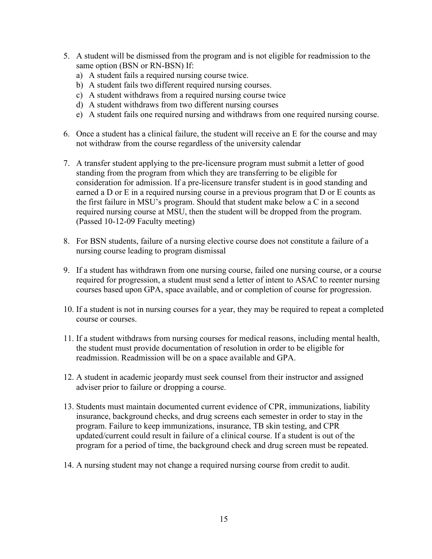- 5. A student will be dismissed from the program and is not eligible for readmission to the same option (BSN or RN-BSN) If:
	- a) A student fails a required nursing course twice.
	- b) A student fails two different required nursing courses.
	- c) A student withdraws from a required nursing course twice
	- d) A student withdraws from two different nursing courses
	- e) A student fails one required nursing and withdraws from one required nursing course.
- 6. Once a student has a clinical failure, the student will receive an E for the course and may not withdraw from the course regardless of the university calendar
- 7. A transfer student applying to the pre-licensure program must submit a letter of good standing from the program from which they are transferring to be eligible for consideration for admission. If a pre-licensure transfer student is in good standing and earned a D or E in a required nursing course in a previous program that D or E counts as the first failure in MSU's program. Should that student make below a C in a second required nursing course at MSU, then the student will be dropped from the program. (Passed 10-12-09 Faculty meeting)
- 8. For BSN students, failure of a nursing elective course does not constitute a failure of a nursing course leading to program dismissal
- 9. If a student has withdrawn from one nursing course, failed one nursing course, or a course required for progression, a student must send a letter of intent to ASAC to reenter nursing courses based upon GPA, space available, and or completion of course for progression.
- 10. If a student is not in nursing courses for a year, they may be required to repeat a completed course or courses.
- 11. If a student withdraws from nursing courses for medical reasons, including mental health, the student must provide documentation of resolution in order to be eligible for readmission. Readmission will be on a space available and GPA.
- 12. A student in academic jeopardy must seek counsel from their instructor and assigned adviser prior to failure or dropping a course.
- 13. Students must maintain documented current evidence of CPR, immunizations, liability insurance, background checks, and drug screens each semester in order to stay in the program. Failure to keep immunizations, insurance, TB skin testing, and CPR updated/current could result in failure of a clinical course. If a student is out of the program for a period of time, the background check and drug screen must be repeated.
- 14. A nursing student may not change a required nursing course from credit to audit.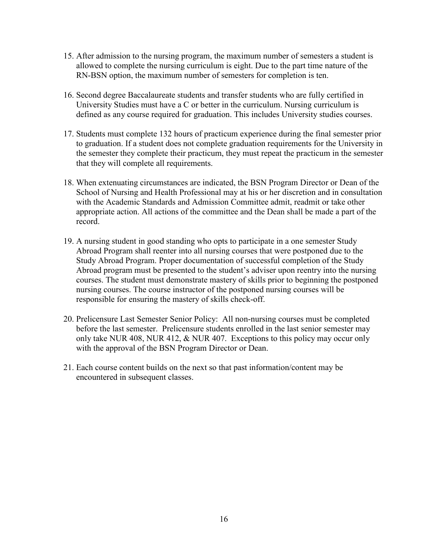- 15. After admission to the nursing program, the maximum number of semesters a student is allowed to complete the nursing curriculum is eight. Due to the part time nature of the RN-BSN option, the maximum number of semesters for completion is ten.
- 16. Second degree Baccalaureate students and transfer students who are fully certified in University Studies must have a C or better in the curriculum. Nursing curriculum is defined as any course required for graduation. This includes University studies courses.
- 17. Students must complete 132 hours of practicum experience during the final semester prior to graduation. If a student does not complete graduation requirements for the University in the semester they complete their practicum, they must repeat the practicum in the semester that they will complete all requirements.
- 18. When extenuating circumstances are indicated, the BSN Program Director or Dean of the School of Nursing and Health Professional may at his or her discretion and in consultation with the Academic Standards and Admission Committee admit, readmit or take other appropriate action. All actions of the committee and the Dean shall be made a part of the record.
- 19. A nursing student in good standing who opts to participate in a one semester Study Abroad Program shall reenter into all nursing courses that were postponed due to the Study Abroad Program. Proper documentation of successful completion of the Study Abroad program must be presented to the student's adviser upon reentry into the nursing courses. The student must demonstrate mastery of skills prior to beginning the postponed nursing courses. The course instructor of the postponed nursing courses will be responsible for ensuring the mastery of skills check-off.
- 20. Prelicensure Last Semester Senior Policy: All non-nursing courses must be completed before the last semester. Prelicensure students enrolled in the last senior semester may only take NUR 408, NUR 412, & NUR 407. Exceptions to this policy may occur only with the approval of the BSN Program Director or Dean.
- 21. Each course content builds on the next so that past information/content may be encountered in subsequent classes.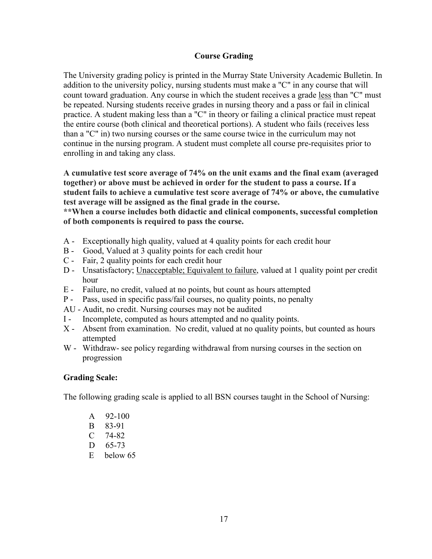## **Course Grading**

<span id="page-16-0"></span>The University grading policy is printed in the Murray State University Academic Bulletin. In addition to the university policy, nursing students must make a "C" in any course that will count toward graduation. Any course in which the student receives a grade less than "C" must be repeated. Nursing students receive grades in nursing theory and a pass or fail in clinical practice. A student making less than a "C" in theory or failing a clinical practice must repeat the entire course (both clinical and theoretical portions). A student who fails (receives less than a "C" in) two nursing courses or the same course twice in the curriculum may not continue in the nursing program. A student must complete all course pre-requisites prior to enrolling in and taking any class.

**A cumulative test score average of 74% on the unit exams and the final exam (averaged together) or above must be achieved in order for the student to pass a course. If a student fails to achieve a cumulative test score average of 74% or above, the cumulative test average will be assigned as the final grade in the course.**

**\*\*When a course includes both didactic and clinical components, successful completion of both components is required to pass the course.**

- A Exceptionally high quality, valued at 4 quality points for each credit hour
- B Good, Valued at 3 quality points for each credit hour
- C Fair, 2 quality points for each credit hour
- D Unsatisfactory; Unacceptable; Equivalent to failure, valued at 1 quality point per credit hour
- E Failure, no credit, valued at no points, but count as hours attempted
- P Pass, used in specific pass/fail courses, no quality points, no penalty
- AU Audit, no credit. Nursing courses may not be audited
- I Incomplete, computed as hours attempted and no quality points.
- X Absent from examination. No credit, valued at no quality points, but counted as hours attempted
- W Withdraw- see policy regarding withdrawal from nursing courses in the section on progression

## <span id="page-16-1"></span>**Grading Scale:**

The following grading scale is applied to all BSN courses taught in the School of Nursing:

- A 92-100
- B 83-91
- C 74-82
- D 65-73
- E below 65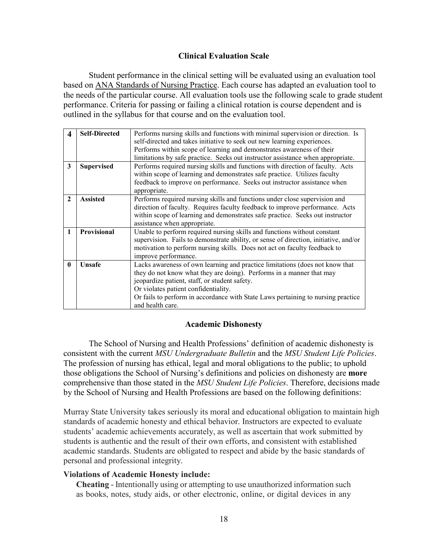## **Clinical Evaluation Scale**

<span id="page-17-0"></span>Student performance in the clinical setting will be evaluated using an evaluation tool based on ANA Standards of Nursing Practice. Each course has adapted an evaluation tool to the needs of the particular course. All evaluation tools use the following scale to grade student performance. Criteria for passing or failing a clinical rotation is course dependent and is outlined in the syllabus for that course and on the evaluation tool.

| <b>Self-Directed</b> | Performs nursing skills and functions with minimal supervision or direction. Is      |  |  |  |  |  |
|----------------------|--------------------------------------------------------------------------------------|--|--|--|--|--|
|                      | self-directed and takes initiative to seek out new learning experiences.             |  |  |  |  |  |
|                      | Performs within scope of learning and demonstrates awareness of their                |  |  |  |  |  |
|                      | limitations by safe practice. Seeks out instructor assistance when appropriate.      |  |  |  |  |  |
| <b>Supervised</b>    | Performs required nursing skills and functions with direction of faculty. Acts       |  |  |  |  |  |
|                      | within scope of learning and demonstrates safe practice. Utilizes faculty            |  |  |  |  |  |
|                      | feedback to improve on performance. Seeks out instructor assistance when             |  |  |  |  |  |
|                      | appropriate.                                                                         |  |  |  |  |  |
| <b>Assisted</b>      | Performs required nursing skills and functions under close supervision and           |  |  |  |  |  |
|                      | direction of faculty. Requires faculty feedback to improve performance. Acts         |  |  |  |  |  |
|                      | within scope of learning and demonstrates safe practice. Seeks out instructor        |  |  |  |  |  |
|                      | assistance when appropriate.                                                         |  |  |  |  |  |
| Provisional          | Unable to perform required nursing skills and functions without constant             |  |  |  |  |  |
|                      | supervision. Fails to demonstrate ability, or sense of direction, initiative, and/or |  |  |  |  |  |
|                      | motivation to perform nursing skills. Does not act on faculty feedback to            |  |  |  |  |  |
|                      | improve performance.                                                                 |  |  |  |  |  |
| <b>Unsafe</b>        | Lacks awareness of own learning and practice limitations (does not know that         |  |  |  |  |  |
|                      | they do not know what they are doing). Performs in a manner that may                 |  |  |  |  |  |
|                      | jeopardize patient, staff, or student safety.                                        |  |  |  |  |  |
|                      | Or violates patient confidentiality.                                                 |  |  |  |  |  |
|                      | Or fails to perform in accordance with State Laws pertaining to nursing practice     |  |  |  |  |  |
|                      | and health care.                                                                     |  |  |  |  |  |
|                      |                                                                                      |  |  |  |  |  |

## **Academic Dishonesty**

<span id="page-17-1"></span>The School of Nursing and Health Professions' definition of academic dishonesty is consistent with the current *MSU Undergraduate Bulletin* and the *MSU Student Life Policies*. The profession of nursing has ethical, legal and moral obligations to the public; to uphold those obligations the School of Nursing's definitions and policies on dishonesty are **more** comprehensive than those stated in the *MSU Student Life Policies*. Therefore, decisions made by the School of Nursing and Health Professions are based on the following definitions:

Murray State University takes seriously its moral and educational obligation to maintain high standards of academic honesty and ethical behavior. Instructors are expected to evaluate students' academic achievements accurately, as well as ascertain that work submitted by students is authentic and the result of their own efforts, and consistent with established academic standards. Students are obligated to respect and abide by the basic standards of personal and professional integrity.

## **Violations of Academic Honesty include:**

**Cheating** - Intentionally using or attempting to use unauthorized information such as books, notes, study aids, or other electronic, online, or digital devices in any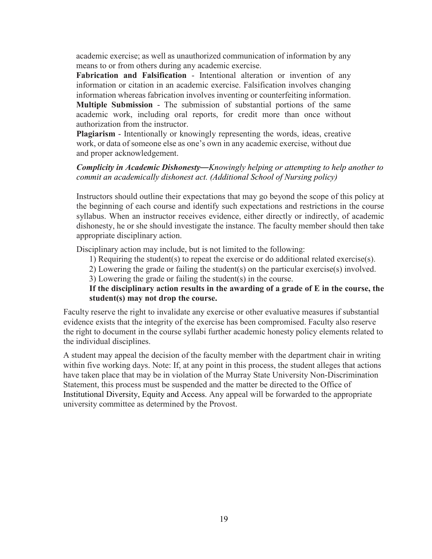academic exercise; as well as unauthorized communication of information by any means to or from others during any academic exercise.

**Fabrication and Falsification** - Intentional alteration or invention of any information or citation in an academic exercise. Falsification involves changing information whereas fabrication involves inventing or counterfeiting information. **Multiple Submission** - The submission of substantial portions of the same academic work, including oral reports, for credit more than once without authorization from the instructor.

**Plagiarism** - Intentionally or knowingly representing the words, ideas, creative work, or data of someone else as one's own in any academic exercise, without due and proper acknowledgement.

## *Complicity in Academic Dishonesty—Knowingly helping or attempting to help another to commit an academically dishonest act. (Additional School of Nursing policy)*

Instructors should outline their expectations that may go beyond the scope of this policy at the beginning of each course and identify such expectations and restrictions in the course syllabus. When an instructor receives evidence, either directly or indirectly, of academic dishonesty, he or she should investigate the instance. The faculty member should then take appropriate disciplinary action.

Disciplinary action may include, but is not limited to the following:

1) Requiring the student(s) to repeat the exercise or do additional related exercise(s).

2) Lowering the grade or failing the student(s) on the particular exercise(s) involved.

3) Lowering the grade or failing the student(s) in the course.

**If the disciplinary action results in the awarding of a grade of E in the course, the student(s) may not drop the course.** 

Faculty reserve the right to invalidate any exercise or other evaluative measures if substantial evidence exists that the integrity of the exercise has been compromised. Faculty also reserve the right to document in the course syllabi further academic honesty policy elements related to the individual disciplines.

A student may appeal the decision of the faculty member with the department chair in writing within five working days. Note: If, at any point in this process, the student alleges that actions have taken place that may be in violation of the Murray State University Non-Discrimination Statement, this process must be suspended and the matter be directed to the Office of Institutional Diversity, Equity and Access. Any appeal will be forwarded to the appropriate university committee as determined by the Provost.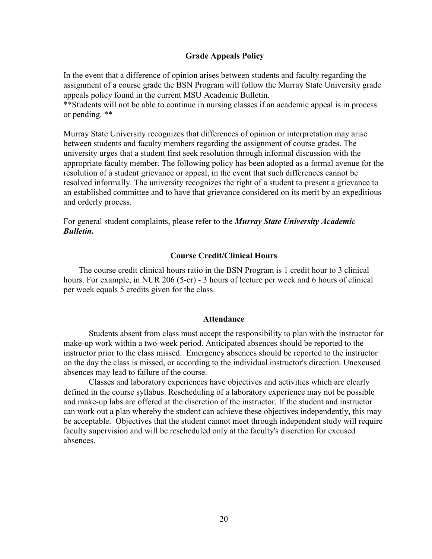### <span id="page-19-0"></span>**Grade Appeals Policy**

In the event that a difference of opinion arises between students and faculty regarding the assignment of a course grade the BSN Program will follow the Murray State University grade appeals policy found in the current MSU Academic Bulletin.

\*\*Students will not be able to continue in nursing classes if an academic appeal is in process or pending. \*\*

Murray State University recognizes that differences of opinion or interpretation may arise between students and faculty members regarding the assignment of course grades. The university urges that a student first seek resolution through informal discussion with the appropriate faculty member. The following policy has been adopted as a formal avenue for the resolution of a student grievance or appeal, in the event that such differences cannot be resolved informally. The university recognizes the right of a student to present a grievance to an established committee and to have that grievance considered on its merit by an expeditious and orderly process.

For general student complaints, please refer to the *Murray State University Academic Bulletin.*

### **Course Credit/Clinical Hours**

<span id="page-19-1"></span>The course credit clinical hours ratio in the BSN Program is 1 credit hour to 3 clinical hours. For example, in NUR 206 (5-cr) - 3 hours of lecture per week and 6 hours of clinical per week equals 5 credits given for the class.

### **Attendance**

<span id="page-19-2"></span>Students absent from class must accept the responsibility to plan with the instructor for make-up work within a two-week period. Anticipated absences should be reported to the instructor prior to the class missed. Emergency absences should be reported to the instructor on the day the class is missed, or according to the individual instructor's direction. Unexcused absences may lead to failure of the course.

Classes and laboratory experiences have objectives and activities which are clearly defined in the course syllabus. Rescheduling of a laboratory experience may not be possible and make-up labs are offered at the discretion of the instructor. If the student and instructor can work out a plan whereby the student can achieve these objectives independently, this may be acceptable. Objectives that the student cannot meet through independent study will require faculty supervision and will be rescheduled only at the faculty's discretion for excused absences.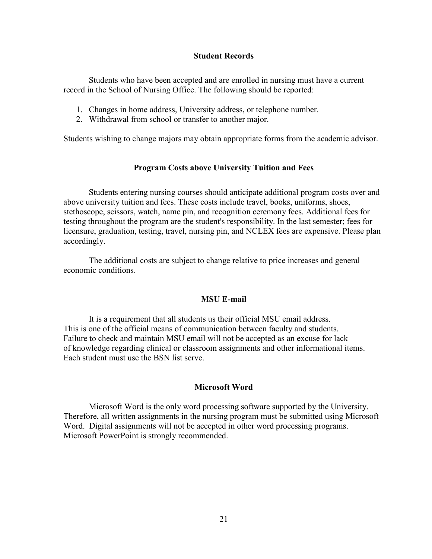### **Student Records**

<span id="page-20-0"></span>Students who have been accepted and are enrolled in nursing must have a current record in the School of Nursing Office. The following should be reported:

- 1. Changes in home address, University address, or telephone number.
- 2. Withdrawal from school or transfer to another major.

Students wishing to change majors may obtain appropriate forms from the academic advisor.

### **Program Costs above University Tuition and Fees**

<span id="page-20-1"></span>Students entering nursing courses should anticipate additional program costs over and above university tuition and fees. These costs include travel, books, uniforms, shoes, stethoscope, scissors, watch, name pin, and recognition ceremony fees. Additional fees for testing throughout the program are the student's responsibility. In the last semester; fees for licensure, graduation, testing, travel, nursing pin, and NCLEX fees are expensive. Please plan accordingly.

The additional costs are subject to change relative to price increases and general economic conditions.

### **MSU E-mail**

<span id="page-20-2"></span>It is a requirement that all students us their official MSU email address. This is one of the official means of communication between faculty and students. Failure to check and maintain MSU email will not be accepted as an excuse for lack of knowledge regarding clinical or classroom assignments and other informational items. Each student must use the BSN list serve.

#### **Microsoft Word**

<span id="page-20-3"></span>Microsoft Word is the only word processing software supported by the University. Therefore, all written assignments in the nursing program must be submitted using Microsoft Word. Digital assignments will not be accepted in other word processing programs. Microsoft PowerPoint is strongly recommended.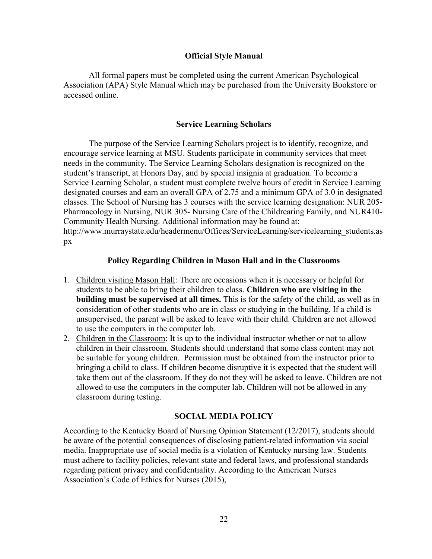### **Official Style Manual**

<span id="page-21-0"></span>All formal papers must be completed using the current American Psychological Association (APA) Style Manual which may be purchased from the University Bookstore or accessed online.

### **Service Learning Scholars**

<span id="page-21-1"></span>The purpose of the Service Learning Scholars project is to identify, recognize, and encourage service learning at MSU. Students participate in community services that meet needs in the community. The Service Learning Scholars designation is recognized on the student's transcript, at Honors Day, and by special insignia at graduation. To become a Service Learning Scholar, a student must complete twelve hours of credit in Service Learning designated courses and earn an overall GPA of 2.75 and a minimum GPA of 3.0 in designated classes. The School of Nursing has 3 courses with the service learning designation: NUR 205- Pharmacology in Nursing, NUR 305- Nursing Care of the Childrearing Family, and NUR410- Community Health Nursing. Additional information may be found at: http://www.murraystate.edu/headermenu/Offices/ServiceLearning/servicelearning\_students.as px

### **Policy Regarding Children in Mason Hall and in the Classrooms**

- <span id="page-21-2"></span>1. Children visiting Mason Hall: There are occasions when it is necessary or helpful for students to be able to bring their children to class. **Children who are visiting in the building must be supervised at all times.** This is for the safety of the child, as well as in consideration of other students who are in class or studying in the building. If a child is unsupervised, the parent will be asked to leave with their child. Children are not allowed to use the computers in the computer lab.
- 2. Children in the Classroom: It is up to the individual instructor whether or not to allow children in their classroom. Students should understand that some class content may not be suitable for young children. Permission must be obtained from the instructor prior to bringing a child to class. If children become disruptive it is expected that the student will take them out of the classroom. If they do not they will be asked to leave. Children are not allowed to use the computers in the computer lab. Children will not be allowed in any classroom during testing.

## **SOCIAL MEDIA POLICY**

<span id="page-21-3"></span>According to the Kentucky Board of Nursing Opinion Statement (12/2017), students should be aware of the potential consequences of disclosing patient-related information via social media. Inappropriate use of social media is a violation of Kentucky nursing law. Students must adhere to facility policies, relevant state and federal laws, and professional standards regarding patient privacy and confidentiality. According to the American Nurses Association's Code of Ethics for Nurses (2015),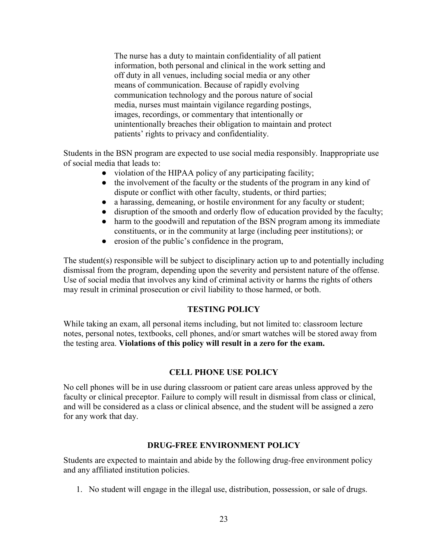The nurse has a duty to maintain confidentiality of all patient information, both personal and clinical in the work setting and off duty in all venues, including social media or any other means of communication. Because of rapidly evolving communication technology and the porous nature of social media, nurses must maintain vigilance regarding postings, images, recordings, or commentary that intentionally or unintentionally breaches their obligation to maintain and protect patients' rights to privacy and confidentiality.

Students in the BSN program are expected to use social media responsibly. Inappropriate use of social media that leads to:

- violation of the HIPAA policy of any participating facility;
- the involvement of the faculty or the students of the program in any kind of dispute or conflict with other faculty, students, or third parties;
- a harassing, demeaning, or hostile environment for any faculty or student;
- disruption of the smooth and orderly flow of education provided by the faculty;
- harm to the goodwill and reputation of the BSN program among its immediate constituents, or in the community at large (including peer institutions); or
- erosion of the public's confidence in the program,

The student(s) responsible will be subject to disciplinary action up to and potentially including dismissal from the program, depending upon the severity and persistent nature of the offense. Use of social media that involves any kind of criminal activity or harms the rights of others may result in criminal prosecution or civil liability to those harmed, or both.

## **TESTING POLICY**

<span id="page-22-0"></span>While taking an exam, all personal items including, but not limited to: classroom lecture notes, personal notes, textbooks, cell phones, and/or smart watches will be stored away from the testing area. **Violations of this policy will result in a zero for the exam.**

## **CELL PHONE USE POLICY**

<span id="page-22-1"></span>No cell phones will be in use during classroom or patient care areas unless approved by the faculty or clinical preceptor. Failure to comply will result in dismissal from class or clinical, and will be considered as a class or clinical absence, and the student will be assigned a zero for any work that day.

## **DRUG-FREE ENVIRONMENT POLICY**

<span id="page-22-2"></span>Students are expected to maintain and abide by the following drug-free environment policy and any affiliated institution policies.

1. No student will engage in the illegal use, distribution, possession, or sale of drugs.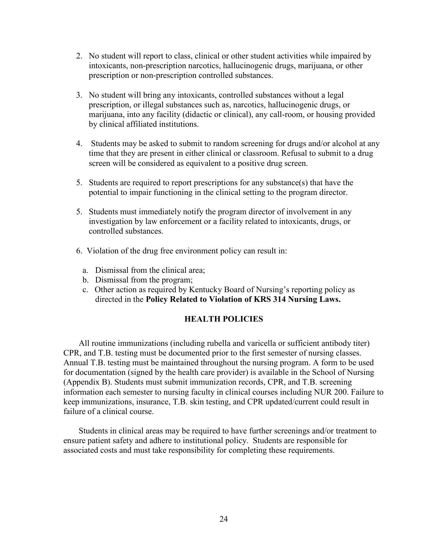- 2. No student will report to class, clinical or other student activities while impaired by intoxicants, non-prescription narcotics, hallucinogenic drugs, marijuana, or other prescription or non-prescription controlled substances.
- 3. No student will bring any intoxicants, controlled substances without a legal prescription, or illegal substances such as, narcotics, hallucinogenic drugs, or marijuana, into any facility (didactic or clinical), any call-room, or housing provided by clinical affiliated institutions.
- 4. Students may be asked to submit to random screening for drugs and/or alcohol at any time that they are present in either clinical or classroom. Refusal to submit to a drug screen will be considered as equivalent to a positive drug screen.
- 5. Students are required to report prescriptions for any substance(s) that have the potential to impair functioning in the clinical setting to the program director.
- 5. Students must immediately notify the program director of involvement in any investigation by law enforcement or a facility related to intoxicants, drugs, or controlled substances.
- 6. Violation of the drug free environment policy can result in:
	- a. Dismissal from the clinical area;
	- b. Dismissal from the program;
	- c. Other action as required by Kentucky Board of Nursing's reporting policy as directed in the **Policy Related to Violation of KRS 314 Nursing Laws.**

## **HEALTH POLICIES**

<span id="page-23-0"></span>All routine immunizations (including rubella and varicella or sufficient antibody titer) CPR, and T.B. testing must be documented prior to the first semester of nursing classes. Annual T.B. testing must be maintained throughout the nursing program. A form to be used for documentation (signed by the health care provider) is available in the School of Nursing (Appendix B). Students must submit immunization records, CPR, and T.B. screening information each semester to nursing faculty in clinical courses including NUR 200. Failure to keep immunizations, insurance, T.B. skin testing, and CPR updated/current could result in failure of a clinical course.

Students in clinical areas may be required to have further screenings and/or treatment to ensure patient safety and adhere to institutional policy. Students are responsible for associated costs and must take responsibility for completing these requirements.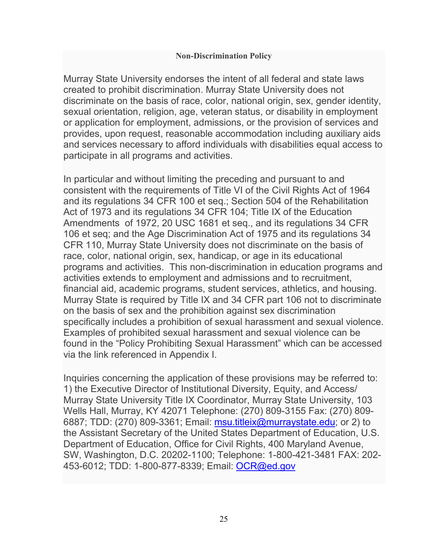## **Non-Discrimination Policy**

Murray State University endorses the intent of all federal and state laws created to prohibit discrimination. Murray State University does not discriminate on the basis of race, color, national origin, sex, gender identity, sexual orientation, religion, age, veteran status, or disability in employment or application for employment, admissions, or the provision of services and provides, upon request, reasonable accommodation including auxiliary aids and services necessary to afford individuals with disabilities equal access to participate in all programs and activities.

In particular and without limiting the preceding and pursuant to and consistent with the requirements of Title VI of the Civil Rights Act of 1964 and its regulations 34 CFR 100 et seq.; Section 504 of the Rehabilitation Act of 1973 and its regulations 34 CFR 104; Title IX of the Education Amendments of 1972, 20 USC 1681 et seq., and its regulations 34 CFR 106 et seq; and the Age Discrimination Act of 1975 and its regulations 34 CFR 110, Murray State University does not discriminate on the basis of race, color, national origin, sex, handicap, or age in its educational programs and activities. This non-discrimination in education programs and activities extends to employment and admissions and to recruitment, financial aid, academic programs, student services, athletics, and housing. Murray State is required by Title IX and 34 CFR part 106 not to discriminate on the basis of sex and the prohibition against sex discrimination specifically includes a prohibition of sexual harassment and sexual violence. Examples of prohibited sexual harassment and sexual violence can be found in the "Policy Prohibiting Sexual Harassment" which can be accessed via the link referenced in Appendix I.

Inquiries concerning the application of these provisions may be referred to: 1) the Executive Director of Institutional Diversity, Equity, and Access/ Murray State University Title IX Coordinator, Murray State University, 103 Wells Hall, Murray, KY 42071 Telephone: (270) 809-3155 Fax: (270) 809- 6887; TDD: (270) 809-3361; Email: [msu.titleix@murraystate.edu;](mailto:msu.titleix@murraystate.edu) or 2) to the Assistant Secretary of the United States Department of Education, U.S. Department of Education, Office for Civil Rights, 400 Maryland Avenue, SW, Washington, D.C. 20202-1100; Telephone: 1-800-421-3481 FAX: 202- 453-6012; TDD: 1-800-877-8339; Email: [OCR@ed.gov](mailto:OCR@ed.gov)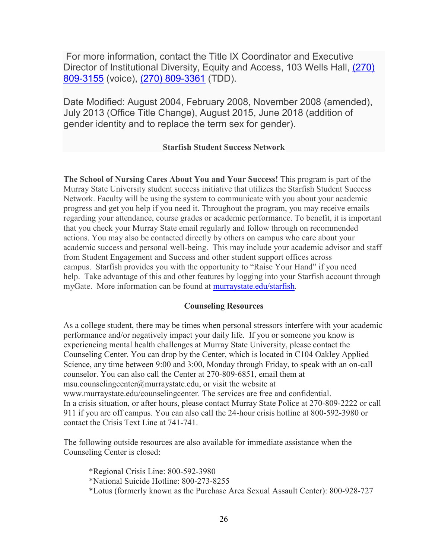For more information, contact the Title IX Coordinator and Executive Director of Institutional Diversity, Equity and Access, 103 Wells Hall, [\(270\)](tel:12708093155)  [809-3155](tel:12708093155) (voice), [\(270\) 809-3361](tel:+12708093361) (TDD).

Date Modified: August 2004, February 2008, November 2008 (amended), July 2013 (Office Title Change), August 2015, June 2018 (addition of gender identity and to replace the term sex for gender).

### **Starfish Student Success Network**

**The School of Nursing Cares About You and Your Success!** This program is part of the Murray State University student success initiative that utilizes the Starfish Student Success Network. Faculty will be using the system to communicate with you about your academic progress and get you help if you need it. Throughout the program, you may receive emails regarding your attendance, course grades or academic performance. To benefit, it is important that you check your Murray State email regularly and follow through on recommended actions. You may also be contacted directly by others on campus who care about your academic success and personal well-being. This may include your academic advisor and staff from Student Engagement and Success and other student support offices across campus. Starfish provides you with the opportunity to "Raise Your Hand" if you need help. Take advantage of this and other features by logging into your Starfish account through myGate. More information can be found at [murraystate.edu/starfish.](http://murraystate.edu/starfish)

### **Counseling Resources**

As a college student, there may be times when personal stressors interfere with your academic performance and/or negatively impact your daily life. If you or someone you know is experiencing mental health challenges at Murray State University, please contact the Counseling Center. You can drop by the Center, which is located in C104 Oakley Applied Science, any time between 9:00 and 3:00, Monday through Friday, to speak with an on-call counselor. You can also call the Center at 270-809-6851, email them at msu.counselingcenter@murraystate.edu, or visit the website at www.murraystate.edu/counselingcenter. The services are free and confidential. In a crisis situation, or after hours, please contact Murray State Police at 270-809-2222 or call 911 if you are off campus. You can also call the 24-hour crisis hotline at 800-592-3980 or contact the Crisis Text Line at 741-741.

The following outside resources are also available for immediate assistance when the Counseling Center is closed:

\*Regional Crisis Line: 800-592-3980 \*National Suicide Hotline: 800-273-8255 \*Lotus (formerly known as the Purchase Area Sexual Assault Center): 800-928-727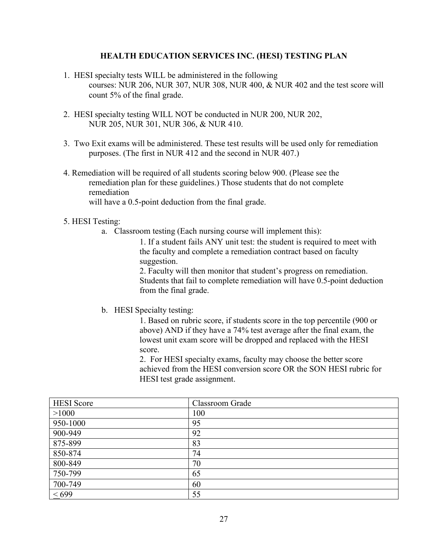### **HEALTH EDUCATION SERVICES INC. (HESI) TESTING PLAN**

- 1. HESI specialty tests WILL be administered in the following courses: NUR 206, NUR 307, NUR 308, NUR 400, & NUR 402 and the test score will count 5% of the final grade.
- 2. HESI specialty testing WILL NOT be conducted in NUR 200, NUR 202, NUR 205, NUR 301, NUR 306, & NUR 410.
- 3. Two Exit exams will be administered. These test results will be used only for remediation purposes. (The first in NUR 412 and the second in NUR 407.)
- 4. Remediation will be required of all students scoring below 900. (Please see the remediation plan for these guidelines.) Those students that do not complete remediation

will have a 0.5-point deduction from the final grade.

- 5. HESI Testing:
	- a. Classroom testing (Each nursing course will implement this):

1. If a student fails ANY unit test: the student is required to meet with the faculty and complete a remediation contract based on faculty suggestion.

2. Faculty will then monitor that student's progress on remediation. Students that fail to complete remediation will have 0.5-point deduction from the final grade.

b. HESI Specialty testing:

1. Based on rubric score, if students score in the top percentile (900 or above) AND if they have a 74% test average after the final exam, the lowest unit exam score will be dropped and replaced with the HESI score.

2. For HESI specialty exams, faculty may choose the better score achieved from the HESI conversion score OR the SON HESI rubric for HESI test grade assignment.

| <b>HESI</b> Score | Classroom Grade |
|-------------------|-----------------|
| >1000             | 100             |
| 950-1000          | 95              |
| 900-949           | 92              |
| 875-899           | 83              |
| 850-874           | 74              |
| 800-849           | 70              |
| 750-799           | 65              |
| 700-749           | 60              |
| $\leq 699$        | 55              |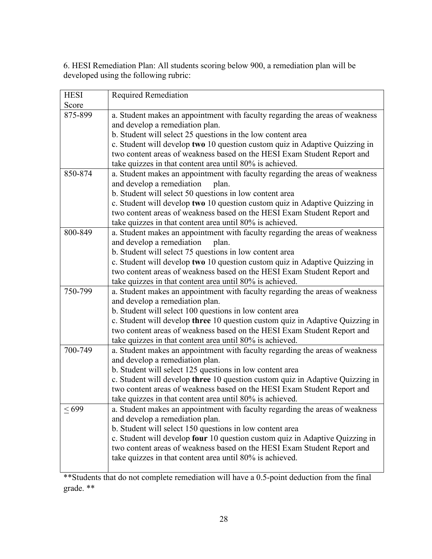6. HESI Remediation Plan: All students scoring below 900, a remediation plan will be developed using the following rubric:

| <b>HESI</b> | <b>Required Remediation</b>                                                                 |
|-------------|---------------------------------------------------------------------------------------------|
| Score       |                                                                                             |
| 875-899     | a. Student makes an appointment with faculty regarding the areas of weakness                |
|             | and develop a remediation plan.                                                             |
|             | b. Student will select 25 questions in the low content area                                 |
|             | c. Student will develop two 10 question custom quiz in Adaptive Quizzing in                 |
|             | two content areas of weakness based on the HESI Exam Student Report and                     |
|             | take quizzes in that content area until 80% is achieved.                                    |
| 850-874     | a. Student makes an appointment with faculty regarding the areas of weakness                |
|             | and develop a remediation<br>plan.                                                          |
|             | b. Student will select 50 questions in low content area                                     |
|             | c. Student will develop two 10 question custom quiz in Adaptive Quizzing in                 |
|             | two content areas of weakness based on the HESI Exam Student Report and                     |
|             | take quizzes in that content area until 80% is achieved.                                    |
| 800-849     | a. Student makes an appointment with faculty regarding the areas of weakness                |
|             | and develop a remediation<br>plan.                                                          |
|             | b. Student will select 75 questions in low content area                                     |
|             | c. Student will develop two 10 question custom quiz in Adaptive Quizzing in                 |
|             | two content areas of weakness based on the HESI Exam Student Report and                     |
|             | take quizzes in that content area until 80% is achieved.                                    |
| 750-799     | a. Student makes an appointment with faculty regarding the areas of weakness                |
|             | and develop a remediation plan.                                                             |
|             | b. Student will select 100 questions in low content area                                    |
|             | c. Student will develop three 10 question custom quiz in Adaptive Quizzing in               |
|             | two content areas of weakness based on the HESI Exam Student Report and                     |
| 700-749     | take quizzes in that content area until 80% is achieved.                                    |
|             | a. Student makes an appointment with faculty regarding the areas of weakness                |
|             | and develop a remediation plan.<br>b. Student will select 125 questions in low content area |
|             | c. Student will develop three 10 question custom quiz in Adaptive Quizzing in               |
|             | two content areas of weakness based on the HESI Exam Student Report and                     |
|             | take quizzes in that content area until 80% is achieved.                                    |
| $\leq 699$  | a. Student makes an appointment with faculty regarding the areas of weakness                |
|             | and develop a remediation plan.                                                             |
|             | b. Student will select 150 questions in low content area                                    |
|             | c. Student will develop four 10 question custom quiz in Adaptive Quizzing in                |
|             | two content areas of weakness based on the HESI Exam Student Report and                     |
|             | take quizzes in that content area until 80% is achieved.                                    |
|             |                                                                                             |

\*\*Students that do not complete remediation will have a 0.5-point deduction from the final grade. \*\*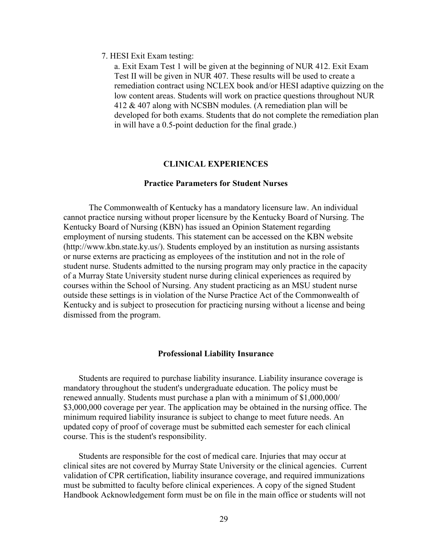### 7. HESI Exit Exam testing:

a. Exit Exam Test 1 will be given at the beginning of NUR 412. Exit Exam Test II will be given in NUR 407. These results will be used to create a remediation contract using NCLEX book and/or HESI adaptive quizzing on the low content areas. Students will work on practice questions throughout NUR 412 & 407 along with NCSBN modules. (A remediation plan will be developed for both exams. Students that do not complete the remediation plan in will have a 0.5-point deduction for the final grade.)

### **CLINICAL EXPERIENCES**

### **Practice Parameters for Student Nurses**

<span id="page-28-1"></span><span id="page-28-0"></span>The Commonwealth of Kentucky has a mandatory licensure law. An individual cannot practice nursing without proper licensure by the Kentucky Board of Nursing. The Kentucky Board of Nursing (KBN) has issued an Opinion Statement regarding employment of nursing students. This statement can be accessed on the KBN website [\(http://www.kbn.state.ky.us/\)](http://www.kbn.state.ky.us/). Students employed by an institution as nursing assistants or nurse externs are practicing as employees of the institution and not in the role of student nurse. Students admitted to the nursing program may only practice in the capacity of a Murray State University student nurse during clinical experiences as required by courses within the School of Nursing. Any student practicing as an MSU student nurse outside these settings is in violation of the Nurse Practice Act of the Commonwealth of Kentucky and is subject to prosecution for practicing nursing without a license and being dismissed from the program.

### **Professional Liability Insurance**

<span id="page-28-2"></span>Students are required to purchase liability insurance. Liability insurance coverage is mandatory throughout the student's undergraduate education. The policy must be renewed annually. Students must purchase a plan with a minimum of \$1,000,000/ \$3,000,000 coverage per year. The application may be obtained in the nursing office. The minimum required liability insurance is subject to change to meet future needs. An updated copy of proof of coverage must be submitted each semester for each clinical course. This is the student's responsibility.

Students are responsible for the cost of medical care. Injuries that may occur at clinical sites are not covered by Murray State University or the clinical agencies. Current validation of CPR certification, liability insurance coverage, and required immunizations must be submitted to faculty before clinical experiences. A copy of the signed Student Handbook Acknowledgement form must be on file in the main office or students will not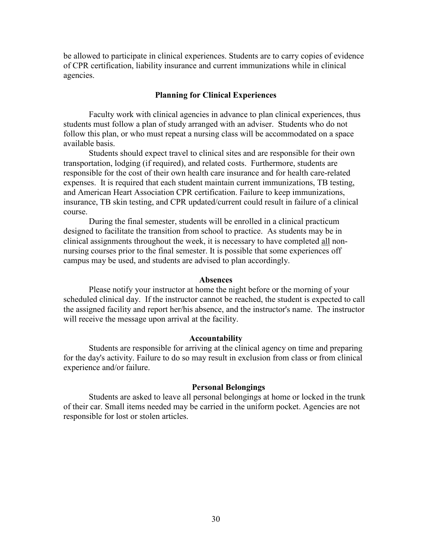be allowed to participate in clinical experiences. Students are to carry copies of evidence of CPR certification, liability insurance and current immunizations while in clinical agencies.

### **Planning for Clinical Experiences**

Faculty work with clinical agencies in advance to plan clinical experiences, thus students must follow a plan of study arranged with an adviser. Students who do not follow this plan, or who must repeat a nursing class will be accommodated on a space available basis.

Students should expect travel to clinical sites and are responsible for their own transportation, lodging (if required), and related costs. Furthermore, students are responsible for the cost of their own health care insurance and for health care-related expenses. It is required that each student maintain current immunizations, TB testing, and American Heart Association CPR certification. Failure to keep immunizations, insurance, TB skin testing, and CPR updated/current could result in failure of a clinical course.

During the final semester, students will be enrolled in a clinical practicum designed to facilitate the transition from school to practice. As students may be in clinical assignments throughout the week, it is necessary to have completed all nonnursing courses prior to the final semester. It is possible that some experiences off campus may be used, and students are advised to plan accordingly.

#### **Absences**

Please notify your instructor at home the night before or the morning of your scheduled clinical day. If the instructor cannot be reached, the student is expected to call the assigned facility and report her/his absence, and the instructor's name. The instructor will receive the message upon arrival at the facility.

### **Accountability**

Students are responsible for arriving at the clinical agency on time and preparing for the day's activity. Failure to do so may result in exclusion from class or from clinical experience and/or failure.

#### **Personal Belongings**

Students are asked to leave all personal belongings at home or locked in the trunk of their car. Small items needed may be carried in the uniform pocket. Agencies are not responsible for lost or stolen articles.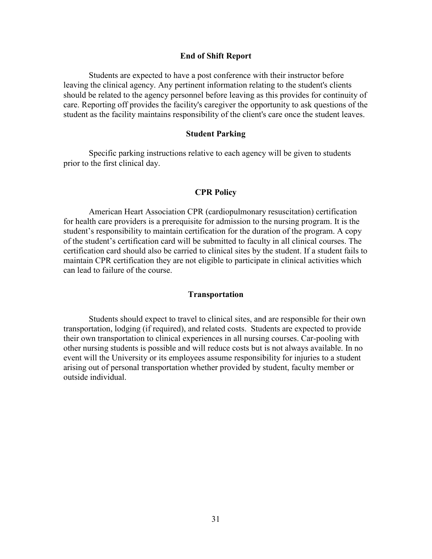#### **End of Shift Report**

<span id="page-30-0"></span>Students are expected to have a post conference with their instructor before leaving the clinical agency. Any pertinent information relating to the student's clients should be related to the agency personnel before leaving as this provides for continuity of care. Reporting off provides the facility's caregiver the opportunity to ask questions of the student as the facility maintains responsibility of the client's care once the student leaves.

#### **Student Parking**

<span id="page-30-1"></span>Specific parking instructions relative to each agency will be given to students prior to the first clinical day.

#### **CPR Policy**

<span id="page-30-2"></span>American Heart Association CPR (cardiopulmonary resuscitation) certification for health care providers is a prerequisite for admission to the nursing program. It is the student's responsibility to maintain certification for the duration of the program. A copy of the student's certification card will be submitted to faculty in all clinical courses. The certification card should also be carried to clinical sites by the student. If a student fails to maintain CPR certification they are not eligible to participate in clinical activities which can lead to failure of the course.

### **Transportation**

<span id="page-30-3"></span>Students should expect to travel to clinical sites, and are responsible for their own transportation, lodging (if required), and related costs. Students are expected to provide their own transportation to clinical experiences in all nursing courses. Car-pooling with other nursing students is possible and will reduce costs but is not always available. In no event will the University or its employees assume responsibility for injuries to a student arising out of personal transportation whether provided by student, faculty member or outside individual.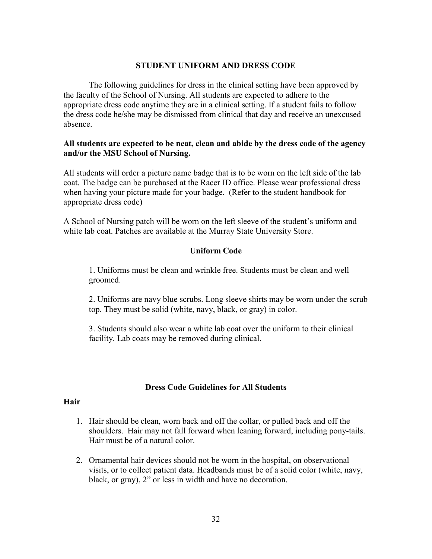### **STUDENT UNIFORM AND DRESS CODE**

The following guidelines for dress in the clinical setting have been approved by the faculty of the School of Nursing. All students are expected to adhere to the appropriate dress code anytime they are in a clinical setting. If a student fails to follow the dress code he/she may be dismissed from clinical that day and receive an unexcused absence.

## **All students are expected to be neat, clean and abide by the dress code of the agency and/or the MSU School of Nursing.**

All students will order a picture name badge that is to be worn on the left side of the lab coat. The badge can be purchased at the Racer ID office. Please wear professional dress when having your picture made for your badge. (Refer to the student handbook for appropriate dress code)

A School of Nursing patch will be worn on the left sleeve of the student's uniform and white lab coat. Patches are available at the Murray State University Store.

## **Uniform Code**

1. Uniforms must be clean and wrinkle free. Students must be clean and well groomed.

2. Uniforms are navy blue scrubs. Long sleeve shirts may be worn under the scrub top. They must be solid (white, navy, black, or gray) in color.

3. Students should also wear a white lab coat over the uniform to their clinical facility. Lab coats may be removed during clinical.

### **Dress Code Guidelines for All Students**

### <span id="page-31-0"></span>**Hair**

- 1. Hair should be clean, worn back and off the collar, or pulled back and off the shoulders. Hair may not fall forward when leaning forward, including pony-tails. Hair must be of a natural color.
- 2. Ornamental hair devices should not be worn in the hospital, on observational visits, or to collect patient data. Headbands must be of a solid color (white, navy, black, or gray), 2" or less in width and have no decoration.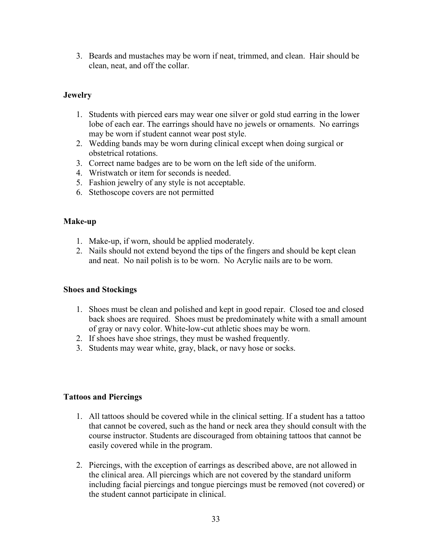3. Beards and mustaches may be worn if neat, trimmed, and clean. Hair should be clean, neat, and off the collar.

## **Jewelry**

- 1. Students with pierced ears may wear one silver or gold stud earring in the lower lobe of each ear. The earrings should have no jewels or ornaments. No earrings may be worn if student cannot wear post style.
- 2. Wedding bands may be worn during clinical except when doing surgical or obstetrical rotations.
- 3. Correct name badges are to be worn on the left side of the uniform.
- 4. Wristwatch or item for seconds is needed.
- 5. Fashion jewelry of any style is not acceptable.
- 6. Stethoscope covers are not permitted

## **Make-up**

- 1. Make-up, if worn, should be applied moderately.
- 2. Nails should not extend beyond the tips of the fingers and should be kept clean and neat. No nail polish is to be worn. No Acrylic nails are to be worn.

## **Shoes and Stockings**

- 1. Shoes must be clean and polished and kept in good repair. Closed toe and closed back shoes are required. Shoes must be predominately white with a small amount of gray or navy color. White-low-cut athletic shoes may be worn.
- 2. If shoes have shoe strings, they must be washed frequently.
- 3. Students may wear white, gray, black, or navy hose or socks.

## **Tattoos and Piercings**

- 1. All tattoos should be covered while in the clinical setting. If a student has a tattoo that cannot be covered, such as the hand or neck area they should consult with the course instructor. Students are discouraged from obtaining tattoos that cannot be easily covered while in the program.
- 2. Piercings, with the exception of earrings as described above, are not allowed in the clinical area. All piercings which are not covered by the standard uniform including facial piercings and tongue piercings must be removed (not covered) or the student cannot participate in clinical.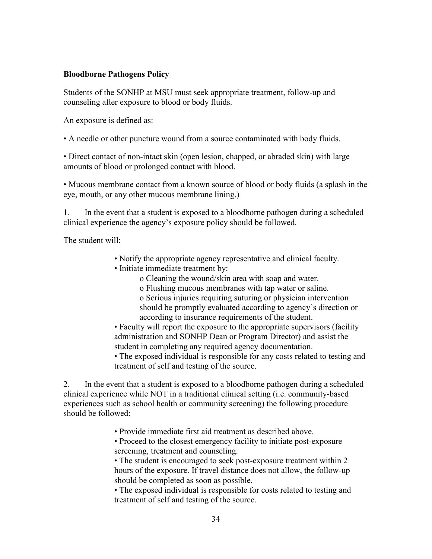### **Bloodborne Pathogens Policy**

Students of the SONHP at MSU must seek appropriate treatment, follow-up and counseling after exposure to blood or body fluids.

An exposure is defined as:

• A needle or other puncture wound from a source contaminated with body fluids.

• Direct contact of non-intact skin (open lesion, chapped, or abraded skin) with large amounts of blood or prolonged contact with blood.

• Mucous membrane contact from a known source of blood or body fluids (a splash in the eye, mouth, or any other mucous membrane lining.)

1. In the event that a student is exposed to a bloodborne pathogen during a scheduled clinical experience the agency's exposure policy should be followed.

The student will:

- Notify the appropriate agency representative and clinical faculty.
- Initiate immediate treatment by:

o Cleaning the wound/skin area with soap and water.

o Flushing mucous membranes with tap water or saline.

o Serious injuries requiring suturing or physician intervention should be promptly evaluated according to agency's direction or according to insurance requirements of the student.

• Faculty will report the exposure to the appropriate supervisors (facility administration and SONHP Dean or Program Director) and assist the student in completing any required agency documentation.

• The exposed individual is responsible for any costs related to testing and treatment of self and testing of the source.

2. In the event that a student is exposed to a bloodborne pathogen during a scheduled clinical experience while NOT in a traditional clinical setting (i.e. community-based experiences such as school health or community screening) the following procedure should be followed:

• Provide immediate first aid treatment as described above.

• Proceed to the closest emergency facility to initiate post-exposure screening, treatment and counseling.

• The student is encouraged to seek post-exposure treatment within 2 hours of the exposure. If travel distance does not allow, the follow-up should be completed as soon as possible.

• The exposed individual is responsible for costs related to testing and treatment of self and testing of the source.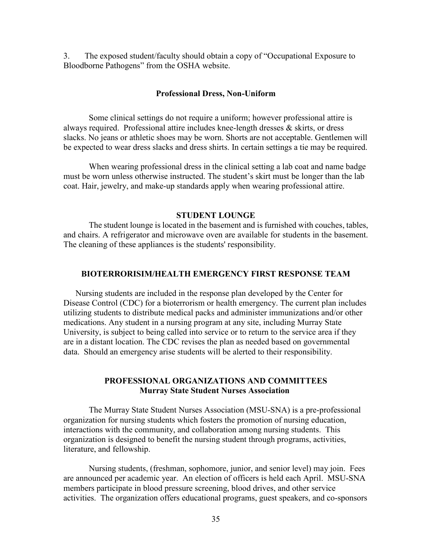3. The exposed student/faculty should obtain a copy of "Occupational Exposure to Bloodborne Pathogens" from the OSHA website.

#### **Professional Dress, Non-Uniform**

<span id="page-34-0"></span>Some clinical settings do not require a uniform; however professional attire is always required. Professional attire includes knee-length dresses & skirts, or dress slacks. No jeans or athletic shoes may be worn. Shorts are not acceptable. Gentlemen will be expected to wear dress slacks and dress shirts. In certain settings a tie may be required.

When wearing professional dress in the clinical setting a lab coat and name badge must be worn unless otherwise instructed. The student's skirt must be longer than the lab coat. Hair, jewelry, and make-up standards apply when wearing professional attire.

#### **STUDENT LOUNGE**

The student lounge is located in the basement and is furnished with couches, tables, and chairs. A refrigerator and microwave oven are available for students in the basement. The cleaning of these appliances is the students' responsibility.

### <span id="page-34-1"></span>**BIOTERRORISIM/HEALTH EMERGENCY FIRST RESPONSE TEAM**

Nursing students are included in the response plan developed by the Center for Disease Control (CDC) for a bioterrorism or health emergency. The current plan includes utilizing students to distribute medical packs and administer immunizations and/or other medications. Any student in a nursing program at any site, including Murray State University, is subject to being called into service or to return to the service area if they are in a distant location. The CDC revises the plan as needed based on governmental data. Should an emergency arise students will be alerted to their responsibility.

### **PROFESSIONAL ORGANIZATIONS AND COMMITTEES Murray State Student Nurses Association**

The Murray State Student Nurses Association (MSU-SNA) is a pre-professional organization for nursing students which fosters the promotion of nursing education, interactions with the community, and collaboration among nursing students. This organization is designed to benefit the nursing student through programs, activities, literature, and fellowship.

Nursing students, (freshman, sophomore, junior, and senior level) may join. Fees are announced per academic year. An election of officers is held each April. MSU-SNA members participate in blood pressure screening, blood drives, and other service activities. The organization offers educational programs, guest speakers, and co-sponsors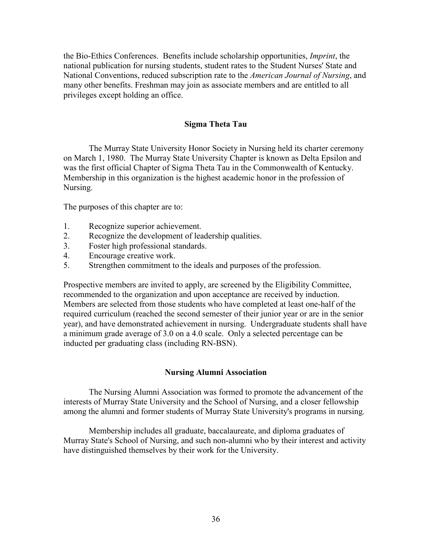the Bio-Ethics Conferences. Benefits include scholarship opportunities, *Imprint*, the national publication for nursing students, student rates to the Student Nurses' State and National Conventions, reduced subscription rate to the *American Journal of Nursing*, and many other benefits. Freshman may join as associate members and are entitled to all privileges except holding an office.

### **Sigma Theta Tau**

<span id="page-35-0"></span>The Murray State University Honor Society in Nursing held its charter ceremony on March 1, 1980. The Murray State University Chapter is known as Delta Epsilon and was the first official Chapter of Sigma Theta Tau in the Commonwealth of Kentucky. Membership in this organization is the highest academic honor in the profession of Nursing.

The purposes of this chapter are to:

- 1. Recognize superior achievement.
- 2. Recognize the development of leadership qualities.
- 3. Foster high professional standards.
- 4. Encourage creative work.
- 5. Strengthen commitment to the ideals and purposes of the profession.

Prospective members are invited to apply, are screened by the Eligibility Committee, recommended to the organization and upon acceptance are received by induction. Members are selected from those students who have completed at least one-half of the required curriculum (reached the second semester of their junior year or are in the senior year), and have demonstrated achievement in nursing. Undergraduate students shall have a minimum grade average of 3.0 on a 4.0 scale. Only a selected percentage can be inducted per graduating class (including RN-BSN).

### **Nursing Alumni Association**

The Nursing Alumni Association was formed to promote the advancement of the interests of Murray State University and the School of Nursing, and a closer fellowship among the alumni and former students of Murray State University's programs in nursing.

Membership includes all graduate, baccalaureate, and diploma graduates of Murray State's School of Nursing, and such non-alumni who by their interest and activity have distinguished themselves by their work for the University.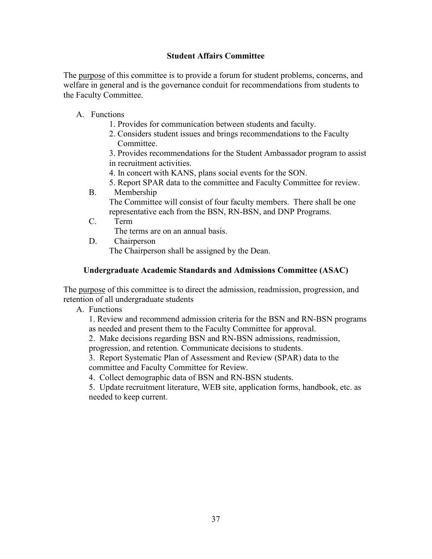## **Student Affairs Committee**

The purpose of this committee is to provide a forum for student problems, concerns, and welfare in general and is the governance conduit for recommendations from students to the Faculty Committee.

- A. Functions
	- 1. Provides for communication between students and faculty.
	- 2. Considers student issues and brings recommendations to the Faculty Committee.

3. Provides recommendations for the Student Ambassador program to assist in recruitment activities.

- 4. In concert with KANS, plans social events for the SON.
- 5. Report SPAR data to the committee and Faculty Committee for review.
- B. Membership

The Committee will consist of four faculty members. There shall be one representative each from the BSN, RN-BSN, and DNP Programs.

C. Term

The terms are on an annual basis.

D. Chairperson

The Chairperson shall be assigned by the Dean.

## **Undergraduate Academic Standards and Admissions Committee (ASAC)**

The purpose of this committee is to direct the admission, readmission, progression, and retention of all undergraduate students

A. Functions

1. Review and recommend admission criteria for the BSN and RN-BSN programs as needed and present them to the Faculty Committee for approval.

2. Make decisions regarding BSN and RN-BSN admissions, readmission,

progression, and retention. Communicate decisions to students.

3. Report Systematic Plan of Assessment and Review (SPAR) data to the committee and Faculty Committee for Review.

4. Collect demographic data of BSN and RN-BSN students.

5. Update recruitment literature, WEB site, application forms, handbook, etc. as needed to keep current.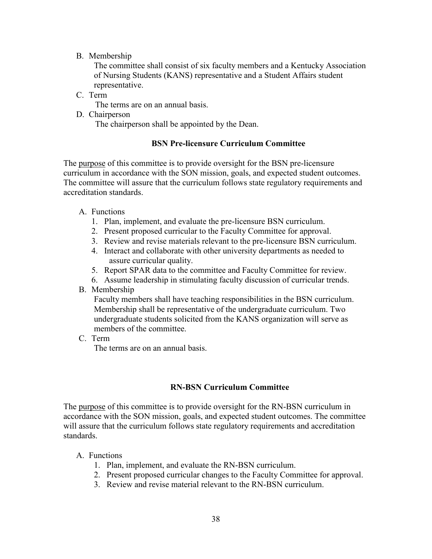## B. Membership

The committee shall consist of six faculty members and a Kentucky Association of Nursing Students (KANS) representative and a Student Affairs student representative.

C. Term

The terms are on an annual basis.

D. Chairperson The chairperson shall be appointed by the Dean.

## **BSN Pre-licensure Curriculum Committee**

The purpose of this committee is to provide oversight for the BSN pre-licensure curriculum in accordance with the SON mission, goals, and expected student outcomes. The committee will assure that the curriculum follows state regulatory requirements and accreditation standards.

- A. Functions
	- 1. Plan, implement, and evaluate the pre-licensure BSN curriculum.
	- 2. Present proposed curricular to the Faculty Committee for approval.
	- 3. Review and revise materials relevant to the pre-licensure BSN curriculum.
	- 4. Interact and collaborate with other university departments as needed to assure curricular quality.
	- 5. Report SPAR data to the committee and Faculty Committee for review.
	- 6. Assume leadership in stimulating faculty discussion of curricular trends.
- B. Membership

Faculty members shall have teaching responsibilities in the BSN curriculum. Membership shall be representative of the undergraduate curriculum. Two undergraduate students solicited from the KANS organization will serve as members of the committee.

C. Term

The terms are on an annual basis.

### **RN-BSN Curriculum Committee**

The purpose of this committee is to provide oversight for the RN-BSN curriculum in accordance with the SON mission, goals, and expected student outcomes. The committee will assure that the curriculum follows state regulatory requirements and accreditation standards.

### A. Functions

- 1. Plan, implement, and evaluate the RN-BSN curriculum.
- 2. Present proposed curricular changes to the Faculty Committee for approval.
- 3. Review and revise material relevant to the RN-BSN curriculum.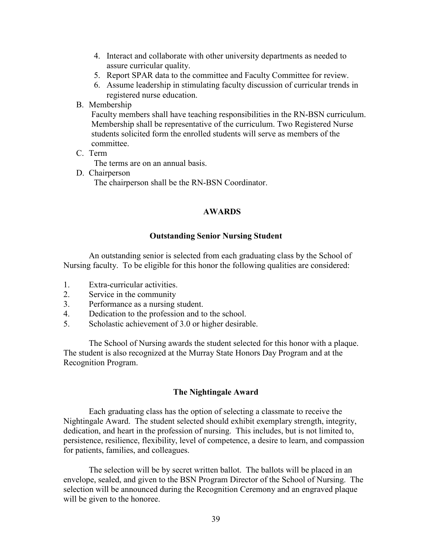- 4. Interact and collaborate with other university departments as needed to assure curricular quality.
- 5. Report SPAR data to the committee and Faculty Committee for review.
- 6. Assume leadership in stimulating faculty discussion of curricular trends in registered nurse education.
- B. Membership

Faculty members shall have teaching responsibilities in the RN-BSN curriculum. Membership shall be representative of the curriculum. Two Registered Nurse students solicited form the enrolled students will serve as members of the committee.

C. Term

The terms are on an annual basis.

D. Chairperson The chairperson shall be the RN-BSN Coordinator.

### **AWARDS**

### **Outstanding Senior Nursing Student**

An outstanding senior is selected from each graduating class by the School of Nursing faculty. To be eligible for this honor the following qualities are considered:

- 1. Extra-curricular activities.
- 2. Service in the community
- 3. Performance as a nursing student.
- 4. Dedication to the profession and to the school.
- 5. Scholastic achievement of 3.0 or higher desirable.

The School of Nursing awards the student selected for this honor with a plaque. The student is also recognized at the Murray State Honors Day Program and at the Recognition Program.

### **The Nightingale Award**

Each graduating class has the option of selecting a classmate to receive the Nightingale Award. The student selected should exhibit exemplary strength, integrity, dedication, and heart in the profession of nursing. This includes, but is not limited to, persistence, resilience, flexibility, level of competence, a desire to learn, and compassion for patients, families, and colleagues.

The selection will be by secret written ballot. The ballots will be placed in an envelope, sealed, and given to the BSN Program Director of the School of Nursing. The selection will be announced during the Recognition Ceremony and an engraved plaque will be given to the honoree.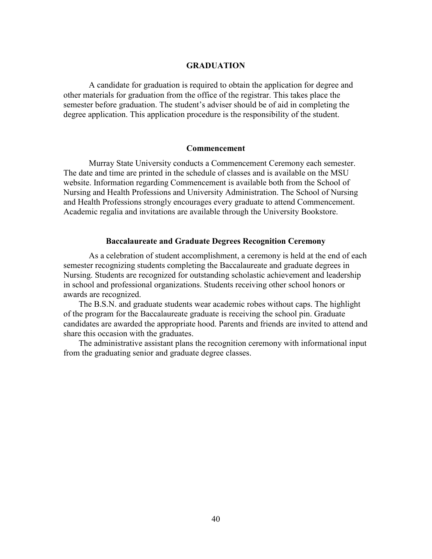### **GRADUATION**

<span id="page-39-0"></span>A candidate for graduation is required to obtain the application for degree and other materials for graduation from the office of the registrar. This takes place the semester before graduation. The student's adviser should be of aid in completing the degree application. This application procedure is the responsibility of the student.

#### **Commencement**

<span id="page-39-1"></span>Murray State University conducts a Commencement Ceremony each semester. The date and time are printed in the schedule of classes and is available on the MSU website. Information regarding Commencement is available both from the School of Nursing and Health Professions and University Administration. The School of Nursing and Health Professions strongly encourages every graduate to attend Commencement. Academic regalia and invitations are available through the University Bookstore.

### **Baccalaureate and Graduate Degrees Recognition Ceremony**

<span id="page-39-2"></span>As a celebration of student accomplishment, a ceremony is held at the end of each semester recognizing students completing the Baccalaureate and graduate degrees in Nursing. Students are recognized for outstanding scholastic achievement and leadership in school and professional organizations. Students receiving other school honors or awards are recognized.

The B.S.N. and graduate students wear academic robes without caps. The highlight of the program for the Baccalaureate graduate is receiving the school pin. Graduate candidates are awarded the appropriate hood. Parents and friends are invited to attend and share this occasion with the graduates.

The administrative assistant plans the recognition ceremony with informational input from the graduating senior and graduate degree classes.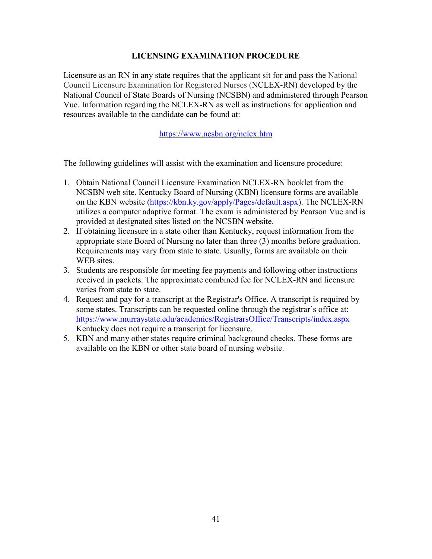## **LICENSING EXAMINATION PROCEDURE**

<span id="page-40-0"></span>Licensure as an RN in any state requires that the applicant sit for and pass the National Council Licensure Examination for Registered Nurses (NCLEX-RN) developed by the National Council of State Boards of Nursing (NCSBN) and administered through Pearson Vue. Information regarding the NCLEX-RN as well as instructions for application and resources available to the candidate can be found at:

<https://www.ncsbn.org/nclex.htm>

The following guidelines will assist with the examination and licensure procedure:

- 1. Obtain National Council Licensure Examination NCLEX-RN booklet from the NCSBN web site. Kentucky Board of Nursing (KBN) licensure forms are available on the KBN website [\(https://kbn.ky.gov/apply/Pages/default.aspx\)](https://kbn.ky.gov/apply/Pages/default.aspx). The NCLEX-RN utilizes a computer adaptive format. The exam is administered by Pearson Vue and is provided at designated sites listed on the NCSBN website.
- 2. If obtaining licensure in a state other than Kentucky, request information from the appropriate state Board of Nursing no later than three (3) months before graduation. Requirements may vary from state to state. Usually, forms are available on their WEB sites.
- 3. Students are responsible for meeting fee payments and following other instructions received in packets. The approximate combined fee for NCLEX-RN and licensure varies from state to state.
- 4. Request and pay for a transcript at the Registrar's Office. A transcript is required by some states. Transcripts can be requested online through the registrar's office at: <https://www.murraystate.edu/academics/RegistrarsOffice/Transcripts/index.aspx> Kentucky does not require a transcript for licensure.
- 5. KBN and many other states require criminal background checks. These forms are available on the KBN or other state board of nursing website.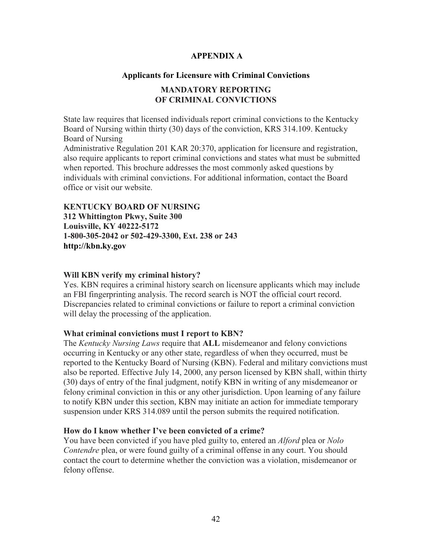## <span id="page-41-0"></span>**APPENDIX A**

## **Applicants for Licensure with Criminal Convictions**

## **MANDATORY REPORTING OF CRIMINAL CONVICTIONS**

<span id="page-41-1"></span>State law requires that licensed individuals report criminal convictions to the Kentucky Board of Nursing within thirty (30) days of the conviction, KRS 314.109. Kentucky Board of Nursing

Administrative Regulation 201 KAR 20:370, application for licensure and registration, also require applicants to report criminal convictions and states what must be submitted when reported. This brochure addresses the most commonly asked questions by individuals with criminal convictions. For additional information, contact the Board office or visit our website.

### **KENTUCKY BOARD OF NURSING**

**312 Whittington Pkwy, Suite 300 Louisville, KY 40222-5172 1-800-305-2042 or 502-429-3300, Ext. 238 or 243 http://kbn.ky.gov**

### **Will KBN verify my criminal history?**

Yes. KBN requires a criminal history search on licensure applicants which may include an FBI fingerprinting analysis. The record search is NOT the official court record. Discrepancies related to criminal convictions or failure to report a criminal conviction will delay the processing of the application.

### **What criminal convictions must I report to KBN?**

The *Kentucky Nursing Laws* require that **ALL** misdemeanor and felony convictions occurring in Kentucky or any other state, regardless of when they occurred, must be reported to the Kentucky Board of Nursing (KBN). Federal and military convictions must also be reported. Effective July 14, 2000, any person licensed by KBN shall, within thirty (30) days of entry of the final judgment, notify KBN in writing of any misdemeanor or felony criminal conviction in this or any other jurisdiction. Upon learning of any failure to notify KBN under this section, KBN may initiate an action for immediate temporary suspension under KRS 314.089 until the person submits the required notification.

### **How do I know whether I've been convicted of a crime?**

You have been convicted if you have pled guilty to, entered an *Alford* plea or *Nolo Contendre* plea, or were found guilty of a criminal offense in any court. You should contact the court to determine whether the conviction was a violation, misdemeanor or felony offense.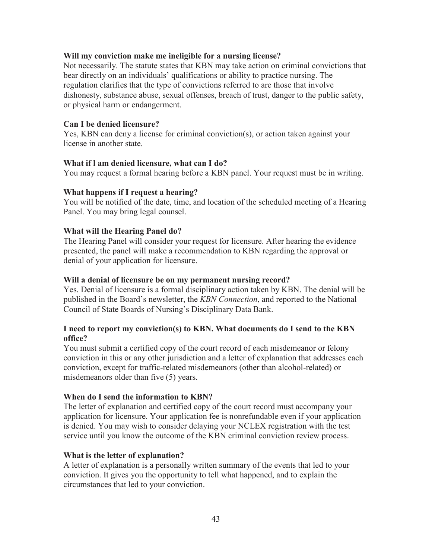## **Will my conviction make me ineligible for a nursing license?**

Not necessarily. The statute states that KBN may take action on criminal convictions that bear directly on an individuals' qualifications or ability to practice nursing. The regulation clarifies that the type of convictions referred to are those that involve dishonesty, substance abuse, sexual offenses, breach of trust, danger to the public safety, or physical harm or endangerment.

### **Can I be denied licensure?**

Yes, KBN can deny a license for criminal conviction(s), or action taken against your license in another state.

### **What if l am denied licensure, what can I do?**

You may request a formal hearing before a KBN panel. Your request must be in writing.

### **What happens if I request a hearing?**

You will be notified of the date, time, and location of the scheduled meeting of a Hearing Panel. You may bring legal counsel.

### **What will the Hearing Panel do?**

The Hearing Panel will consider your request for licensure. After hearing the evidence presented, the panel will make a recommendation to KBN regarding the approval or denial of your application for licensure.

### **Will a denial of licensure be on my permanent nursing record?**

Yes. Denial of licensure is a formal disciplinary action taken by KBN. The denial will be published in the Board's newsletter, the *KBN Connection*, and reported to the National Council of State Boards of Nursing's Disciplinary Data Bank.

## **I need to report my conviction(s) to KBN. What documents do I send to the KBN office?**

You must submit a certified copy of the court record of each misdemeanor or felony conviction in this or any other jurisdiction and a letter of explanation that addresses each conviction, except for traffic-related misdemeanors (other than alcohol-related) or misdemeanors older than five (5) years.

### **When do I send the information to KBN?**

The letter of explanation and certified copy of the court record must accompany your application for licensure. Your application fee is nonrefundable even if your application is denied. You may wish to consider delaying your NCLEX registration with the test service until you know the outcome of the KBN criminal conviction review process.

### **What is the letter of explanation?**

A letter of explanation is a personally written summary of the events that led to your conviction. It gives you the opportunity to tell what happened, and to explain the circumstances that led to your conviction.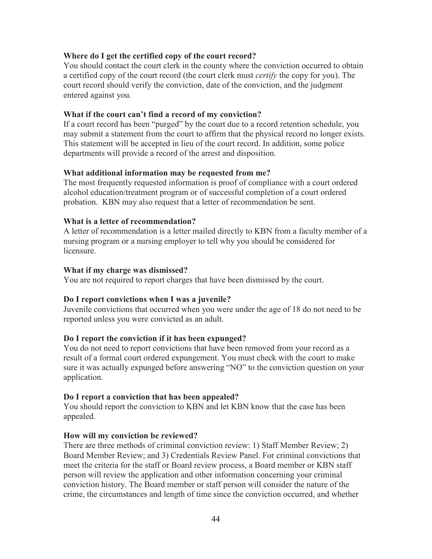## **Where do I get the certified copy of the court record?**

You should contact the court clerk in the county where the conviction occurred to obtain a certified copy of the court record (the court clerk must *certify* the copy for you). The court record should verify the conviction, date of the conviction, and the judgment entered against you.

### **What if the court can't find a record of my conviction?**

If a court record has been "purged" by the court due to a record retention schedule, you may submit a statement from the court to affirm that the physical record no longer exists. This statement will be accepted in lieu of the court record. In addition, some police departments will provide a record of the arrest and disposition.

### **What additional information may be requested from me?**

The most frequently requested information is proof of compliance with a court ordered alcohol education/treatment program or of successful completion of a court ordered probation. KBN may also request that a letter of recommendation be sent.

### **What is a letter of recommendation?**

A letter of recommendation is a letter mailed directly to KBN from a faculty member of a nursing program or a nursing employer to tell why you should be considered for licensure.

### **What if my charge was dismissed?**

You are not required to report charges that have been dismissed by the court.

## **Do I report convictions when I was a juvenile?**

Juvenile convictions that occurred when you were under the age of 18 do not need to be reported unless you were convicted as an adult.

## **Do I report the conviction if it has been expunged?**

You do not need to report convictions that have been removed from your record as a result of a formal court ordered expungement. You must check with the court to make sure it was actually expunged before answering "NO" to the conviction question on your application.

### **Do I report a conviction that has been appealed?**

You should report the conviction to KBN and let KBN know that the case has been appealed.

### **How will my conviction be reviewed?**

There are three methods of criminal conviction review: 1) Staff Member Review; 2) Board Member Review; and 3) Credentials Review Panel. For criminal convictions that meet the criteria for the staff or Board review process, a Board member or KBN staff person will review the application and other information concerning your criminal conviction history. The Board member or staff person will consider the nature of the crime, the circumstances and length of time since the conviction occurred, and whether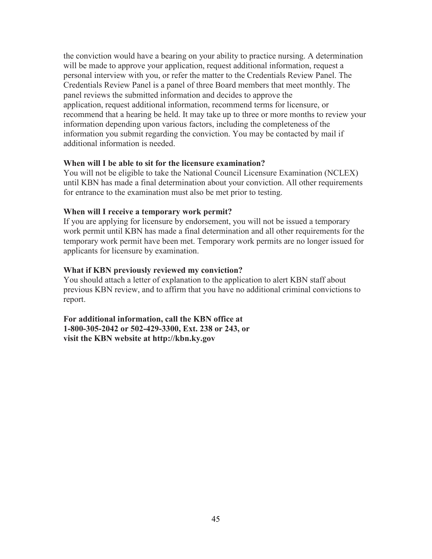the conviction would have a bearing on your ability to practice nursing. A determination will be made to approve your application, request additional information, request a personal interview with you, or refer the matter to the Credentials Review Panel. The Credentials Review Panel is a panel of three Board members that meet monthly. The panel reviews the submitted information and decides to approve the application, request additional information, recommend terms for licensure, or recommend that a hearing be held. It may take up to three or more months to review your information depending upon various factors, including the completeness of the information you submit regarding the conviction. You may be contacted by mail if additional information is needed.

## **When will I be able to sit for the licensure examination?**

You will not be eligible to take the National Council Licensure Examination (NCLEX) until KBN has made a final determination about your conviction. All other requirements for entrance to the examination must also be met prior to testing.

### **When will I receive a temporary work permit?**

If you are applying for licensure by endorsement, you will not be issued a temporary work permit until KBN has made a final determination and all other requirements for the temporary work permit have been met. Temporary work permits are no longer issued for applicants for licensure by examination.

### **What if KBN previously reviewed my conviction?**

You should attach a letter of explanation to the application to alert KBN staff about previous KBN review, and to affirm that you have no additional criminal convictions to report.

**For additional information, call the KBN office at 1-800-305-2042 or 502-429-3300, Ext. 238 or 243, or visit the KBN website at http://kbn.ky.gov**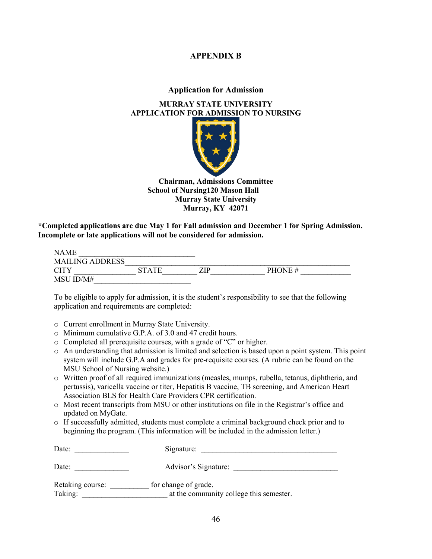## **APPENDIX B**

### **Application for Admission**

## <span id="page-45-1"></span><span id="page-45-0"></span>**MURRAY STATE UNIVERSITY APPLICATION FOR ADMISSION TO NURSING**



**Chairman, Admissions Committee School of Nursing120 Mason Hall Murray State University Murray, KY 42071**

**\*Completed applications are due May 1 for Fall admission and December 1 for Spring Admission. Incomplete or late applications will not be considered for admission.**

| <b>NAME</b>            |              |     |         |  |
|------------------------|--------------|-----|---------|--|
| <b>MAILING ADDRESS</b> |              |     |         |  |
| <b>CITY</b>            | <b>STATE</b> | ZIP | PHONE # |  |
| MSU ID/M#              |              |     |         |  |

To be eligible to apply for admission, it is the student's responsibility to see that the following application and requirements are completed:

- o Current enrollment in Murray State University.
- o Minimum cumulative G.P.A. of 3.0 and 47 credit hours.
- o Completed all prerequisite courses, with a grade of "C" or higher.
- o An understanding that admission is limited and selection is based upon a point system. This point system will include G.P.A and grades for pre-requisite courses. (A rubric can be found on the MSU School of Nursing website.)
- o Written proof of all required immunizations (measles, mumps, rubella, tetanus, diphtheria, and pertussis), varicella vaccine or titer, Hepatitis B vaccine, TB screening, and American Heart Association BLS for Health Care Providers CPR certification.
- o Most recent transcripts from MSU or other institutions on file in the Registrar's office and updated on MyGate.
- o If successfully admitted, students must complete a criminal background check prior and to beginning the program. (This information will be included in the admission letter.)

| Date:                       | Signature:                                                      |
|-----------------------------|-----------------------------------------------------------------|
| Date:                       | Advisor's Signature:                                            |
| Retaking course:<br>Taking: | for change of grade.<br>at the community college this semester. |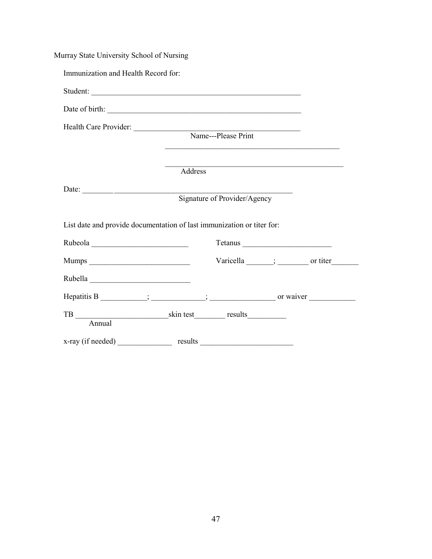| Murray State University School of Nursing |                                                                        |
|-------------------------------------------|------------------------------------------------------------------------|
| Immunization and Health Record for:       |                                                                        |
|                                           | Student:                                                               |
|                                           |                                                                        |
|                                           | Health Care Provider: Name---Please Print                              |
|                                           |                                                                        |
|                                           |                                                                        |
|                                           | Address                                                                |
|                                           | Signature of Provider/Agency                                           |
|                                           |                                                                        |
|                                           | List date and provide documentation of last immunization or titer for: |
|                                           |                                                                        |
|                                           | Varicella ______; _________ or titer                                   |
|                                           |                                                                        |
|                                           |                                                                        |
| Annual                                    |                                                                        |
|                                           |                                                                        |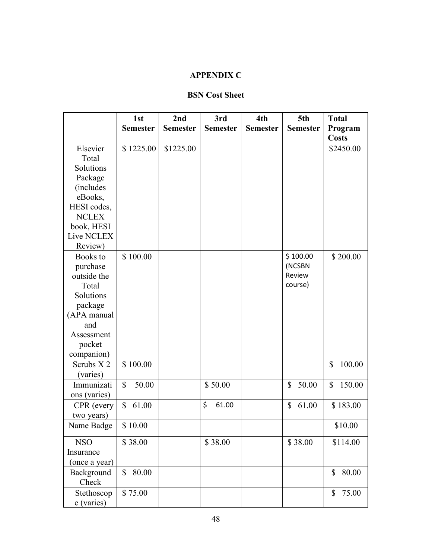# **APPENDIX C**

## **BSN Cost Sheet**

<span id="page-47-0"></span>

|               | 1st                   | 2nd             | 3rd             | 4th             | 5th             | <b>Total</b> |
|---------------|-----------------------|-----------------|-----------------|-----------------|-----------------|--------------|
|               | <b>Semester</b>       | <b>Semester</b> | <b>Semester</b> | <b>Semester</b> | <b>Semester</b> | Program      |
|               |                       |                 |                 |                 |                 | <b>Costs</b> |
| Elsevier      | \$1225.00             | \$1225.00       |                 |                 |                 | \$2450.00    |
| Total         |                       |                 |                 |                 |                 |              |
| Solutions     |                       |                 |                 |                 |                 |              |
| Package       |                       |                 |                 |                 |                 |              |
| (includes)    |                       |                 |                 |                 |                 |              |
| eBooks,       |                       |                 |                 |                 |                 |              |
| HESI codes,   |                       |                 |                 |                 |                 |              |
| <b>NCLEX</b>  |                       |                 |                 |                 |                 |              |
| book, HESI    |                       |                 |                 |                 |                 |              |
| Live NCLEX    |                       |                 |                 |                 |                 |              |
| Review)       |                       |                 |                 |                 |                 |              |
| Books to      | \$100.00              |                 |                 |                 | \$100.00        | \$200.00     |
| purchase      |                       |                 |                 |                 | (NCSBN          |              |
| outside the   |                       |                 |                 |                 | Review          |              |
| Total         |                       |                 |                 |                 | course)         |              |
| Solutions     |                       |                 |                 |                 |                 |              |
| package       |                       |                 |                 |                 |                 |              |
| (APA manual   |                       |                 |                 |                 |                 |              |
| and           |                       |                 |                 |                 |                 |              |
| Assessment    |                       |                 |                 |                 |                 |              |
| pocket        |                       |                 |                 |                 |                 |              |
| companion)    |                       |                 |                 |                 |                 |              |
| Scrubs X2     | \$100.00              |                 |                 |                 |                 | 100.00<br>\$ |
| (varies)      |                       |                 |                 |                 |                 |              |
| Immunizati    | $\mathbb{S}$<br>50.00 |                 | \$50.00         |                 | \$<br>50.00     | \$<br>150.00 |
| ons (varies)  |                       |                 |                 |                 |                 |              |
| CPR (every    | 61.00<br>\$           |                 | \$<br>61.00     |                 | \$<br>61.00     | \$183.00     |
| two years)    |                       |                 |                 |                 |                 |              |
| Name Badge    | \$10.00               |                 |                 |                 |                 | \$10.00      |
|               |                       |                 |                 |                 |                 |              |
| <b>NSO</b>    | \$38.00               |                 | \$38.00         |                 | \$38.00         | \$114.00     |
| Insurance     |                       |                 |                 |                 |                 |              |
| (once a year) |                       |                 |                 |                 |                 |              |
| Background    | 80.00<br>\$           |                 |                 |                 |                 | 80.00<br>\$  |
| Check         |                       |                 |                 |                 |                 |              |
| Stethoscop    | \$75.00               |                 |                 |                 |                 | \$<br>75.00  |
| e (varies)    |                       |                 |                 |                 |                 |              |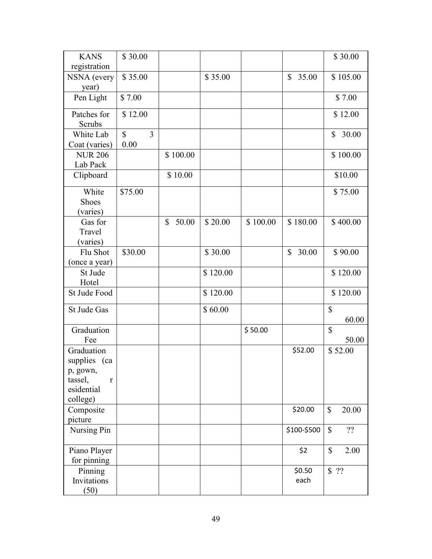| <b>KANS</b>                                                                      | \$30.00                                |             |          |          |                | \$30.00               |
|----------------------------------------------------------------------------------|----------------------------------------|-------------|----------|----------|----------------|-----------------------|
| registration                                                                     |                                        |             |          |          |                |                       |
| NSNA (every<br>year)                                                             | \$35.00                                |             | \$35.00  |          | \$<br>35.00    | \$105.00              |
| Pen Light                                                                        | \$7.00                                 |             |          |          |                | \$7.00                |
| Patches for<br>Scrubs                                                            | \$12.00                                |             |          |          |                | \$12.00               |
| White Lab<br>Coat (varies)                                                       | $\mathbb{S}$<br>$\overline{3}$<br>0.00 |             |          |          |                | \$<br>30.00           |
| <b>NUR 206</b><br>Lab Pack                                                       |                                        | \$100.00    |          |          |                | \$100.00              |
| Clipboard                                                                        |                                        | \$10.00     |          |          |                | \$10.00               |
| White<br>Shoes<br>(varies)                                                       | \$75.00                                |             |          |          |                | \$75.00               |
| Gas for<br>Travel<br>(varies)                                                    |                                        | \$<br>50.00 | \$20.00  | \$100.00 | \$180.00       | \$400.00              |
| Flu Shot<br>(once a year)                                                        | \$30.00                                |             | \$30.00  |          | 30.00<br>\$    | \$90.00               |
| St Jude<br>Hotel                                                                 |                                        |             | \$120.00 |          |                | \$120.00              |
| St Jude Food                                                                     |                                        |             | \$120.00 |          |                | \$120.00              |
| St Jude Gas                                                                      |                                        |             | \$60.00  |          |                | $\mathbb{S}$<br>60.00 |
| Graduation<br>Fee                                                                |                                        |             |          | \$50.00  |                | $\mathbb{S}$<br>50.00 |
| Graduation<br>supplies (ca<br>p, gown,<br>tassel,<br>r<br>esidential<br>college) |                                        |             |          |          | \$52.00        | \$52.00               |
| Composite<br>picture                                                             |                                        |             |          |          | \$20.00        | $\mathbb{S}$<br>20.00 |
| Nursing Pin                                                                      |                                        |             |          |          | \$100-\$500    | $\mathbb{S}$<br>??    |
| Piano Player<br>for pinning                                                      |                                        |             |          |          | \$2            | $\mathbb{S}$<br>2.00  |
| Pinning<br>Invitations<br>(50)                                                   |                                        |             |          |          | \$0.50<br>each | \$ 22                 |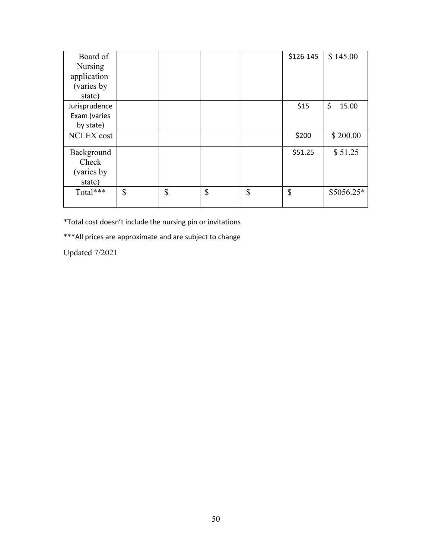| Board of          |          |               | \$126-145 | \$145.00    |
|-------------------|----------|---------------|-----------|-------------|
| Nursing           |          |               |           |             |
| application       |          |               |           |             |
| (varies by        |          |               |           |             |
| state)            |          |               |           |             |
| Jurisprudence     |          |               | \$15      | \$<br>15.00 |
| Exam (varies      |          |               |           |             |
| by state)         |          |               |           |             |
| <b>NCLEX</b> cost |          |               | \$200     | \$200.00    |
| Background        |          |               | \$51.25   | \$51.25     |
| Check             |          |               |           |             |
| (varies by)       |          |               |           |             |
| state)            |          |               |           |             |
| Total***          | \$<br>\$ | $\mathsf{\$}$ | \$<br>\$  | $$5056.25*$ |
|                   |          |               |           |             |

\*Total cost doesn't include the nursing pin or invitations

\*\*\*All prices are approximate and are subject to change

Updated 7/2021